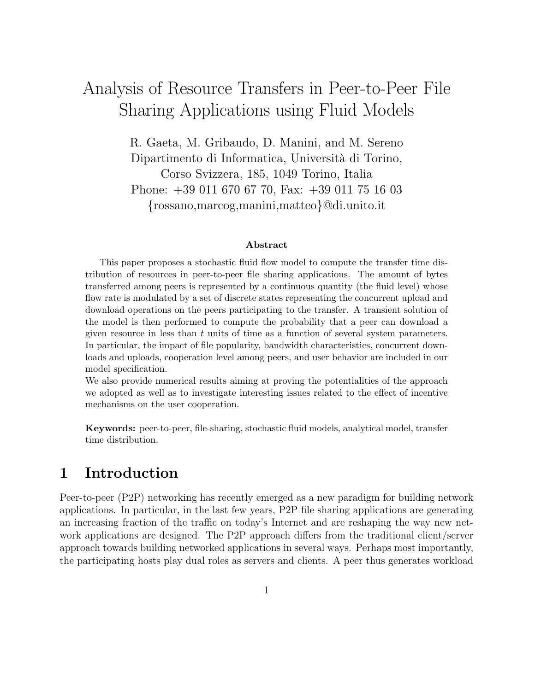# Analysis of Resource Transfers in Peer-to-Peer File Sharing Applications using Fluid Models

R. Gaeta, M. Gribaudo, D. Manini, and M. Sereno Dipartimento di Informatica, Universit`a di Torino, Corso Svizzera, 185, 1049 Torino, Italia Phone: +39 011 670 67 70, Fax: +39 011 75 16 03 {rossano,marcog,manini,matteo}@di.unito.it

#### Abstract

This paper proposes a stochastic fluid flow model to compute the transfer time distribution of resources in peer-to-peer file sharing applications. The amount of bytes transferred among peers is represented by a continuous quantity (the fluid level) whose flow rate is modulated by a set of discrete states representing the concurrent upload and download operations on the peers participating to the transfer. A transient solution of the model is then performed to compute the probability that a peer can download a given resource in less than  $t$  units of time as a function of several system parameters. In particular, the impact of file popularity, bandwidth characteristics, concurrent downloads and uploads, cooperation level among peers, and user behavior are included in our model specification.

We also provide numerical results aiming at proving the potentialities of the approach we adopted as well as to investigate interesting issues related to the effect of incentive mechanisms on the user cooperation.

Keywords: peer-to-peer, file-sharing, stochastic fluid models, analytical model, transfer time distribution.

# 1 Introduction

Peer-to-peer (P2P) networking has recently emerged as a new paradigm for building network applications. In particular, in the last few years, P2P file sharing applications are generating an increasing fraction of the traffic on today's Internet and are reshaping the way new network applications are designed. The P2P approach differs from the traditional client/server approach towards building networked applications in several ways. Perhaps most importantly, the participating hosts play dual roles as servers and clients. A peer thus generates workload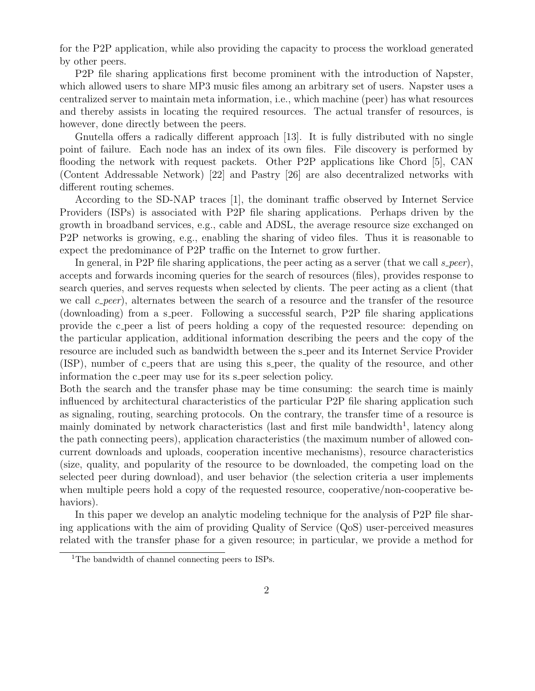for the P2P application, while also providing the capacity to process the workload generated by other peers.

P2P file sharing applications first become prominent with the introduction of Napster, which allowed users to share MP3 music files among an arbitrary set of users. Napster uses a centralized server to maintain meta information, i.e., which machine (peer) has what resources and thereby assists in locating the required resources. The actual transfer of resources, is however, done directly between the peers.

Gnutella offers a radically different approach [13]. It is fully distributed with no single point of failure. Each node has an index of its own files. File discovery is performed by flooding the network with request packets. Other P2P applications like Chord [5], CAN (Content Addressable Network) [22] and Pastry [26] are also decentralized networks with different routing schemes.

According to the SD-NAP traces [1], the dominant traffic observed by Internet Service Providers (ISPs) is associated with P2P file sharing applications. Perhaps driven by the growth in broadband services, e.g., cable and ADSL, the average resource size exchanged on P2P networks is growing, e.g., enabling the sharing of video files. Thus it is reasonable to expect the predominance of P2P traffic on the Internet to grow further.

In general, in P2P file sharing applications, the peer acting as a server (that we call  $s\text{-}peer$ ), accepts and forwards incoming queries for the search of resources (files), provides response to search queries, and serves requests when selected by clients. The peer acting as a client (that we call  $c$ -peer), alternates between the search of a resource and the transfer of the resource (downloading) from a s-peer. Following a successful search, P2P file sharing applications provide the c peer a list of peers holding a copy of the requested resource: depending on the particular application, additional information describing the peers and the copy of the resource are included such as bandwidth between the s peer and its Internet Service Provider (ISP), number of c peers that are using this s peer, the quality of the resource, and other information the c peer may use for its s peer selection policy.

Both the search and the transfer phase may be time consuming: the search time is mainly influenced by architectural characteristics of the particular P2P file sharing application such as signaling, routing, searching protocols. On the contrary, the transfer time of a resource is mainly dominated by network characteristics (last and first mile bandwidth<sup>1</sup>, latency along the path connecting peers), application characteristics (the maximum number of allowed concurrent downloads and uploads, cooperation incentive mechanisms), resource characteristics (size, quality, and popularity of the resource to be downloaded, the competing load on the selected peer during download), and user behavior (the selection criteria a user implements when multiple peers hold a copy of the requested resource, cooperative/non-cooperative behaviors).

In this paper we develop an analytic modeling technique for the analysis of P2P file sharing applications with the aim of providing Quality of Service (QoS) user-perceived measures related with the transfer phase for a given resource; in particular, we provide a method for

<sup>&</sup>lt;sup>1</sup>The bandwidth of channel connecting peers to ISPs.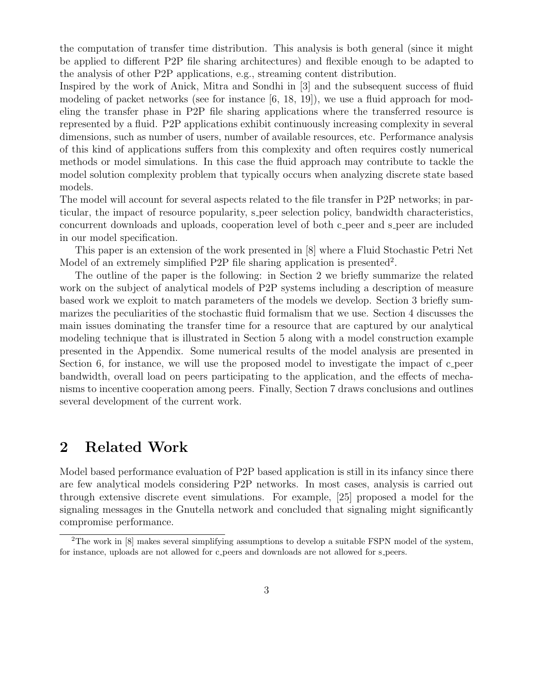the computation of transfer time distribution. This analysis is both general (since it might be applied to different P2P file sharing architectures) and flexible enough to be adapted to the analysis of other P2P applications, e.g., streaming content distribution.

Inspired by the work of Anick, Mitra and Sondhi in [3] and the subsequent success of fluid modeling of packet networks (see for instance  $[6, 18, 19]$ ), we use a fluid approach for modeling the transfer phase in P2P file sharing applications where the transferred resource is represented by a fluid. P2P applications exhibit continuously increasing complexity in several dimensions, such as number of users, number of available resources, etc. Performance analysis of this kind of applications suffers from this complexity and often requires costly numerical methods or model simulations. In this case the fluid approach may contribute to tackle the model solution complexity problem that typically occurs when analyzing discrete state based models.

The model will account for several aspects related to the file transfer in P2P networks; in particular, the impact of resource popularity, s peer selection policy, bandwidth characteristics, concurrent downloads and uploads, cooperation level of both c peer and s peer are included in our model specification.

This paper is an extension of the work presented in [8] where a Fluid Stochastic Petri Net Model of an extremely simplified P2P file sharing application is presented<sup>2</sup>.

The outline of the paper is the following: in Section 2 we briefly summarize the related work on the subject of analytical models of P2P systems including a description of measure based work we exploit to match parameters of the models we develop. Section 3 briefly summarizes the peculiarities of the stochastic fluid formalism that we use. Section 4 discusses the main issues dominating the transfer time for a resource that are captured by our analytical modeling technique that is illustrated in Section 5 along with a model construction example presented in the Appendix. Some numerical results of the model analysis are presented in Section 6, for instance, we will use the proposed model to investigate the impact of c-peer bandwidth, overall load on peers participating to the application, and the effects of mechanisms to incentive cooperation among peers. Finally, Section 7 draws conclusions and outlines several development of the current work.

# 2 Related Work

Model based performance evaluation of P2P based application is still in its infancy since there are few analytical models considering P2P networks. In most cases, analysis is carried out through extensive discrete event simulations. For example, [25] proposed a model for the signaling messages in the Gnutella network and concluded that signaling might significantly compromise performance.

<sup>&</sup>lt;sup>2</sup>The work in  $[8]$  makes several simplifying assumptions to develop a suitable FSPN model of the system, for instance, uploads are not allowed for c peers and downloads are not allowed for s peers.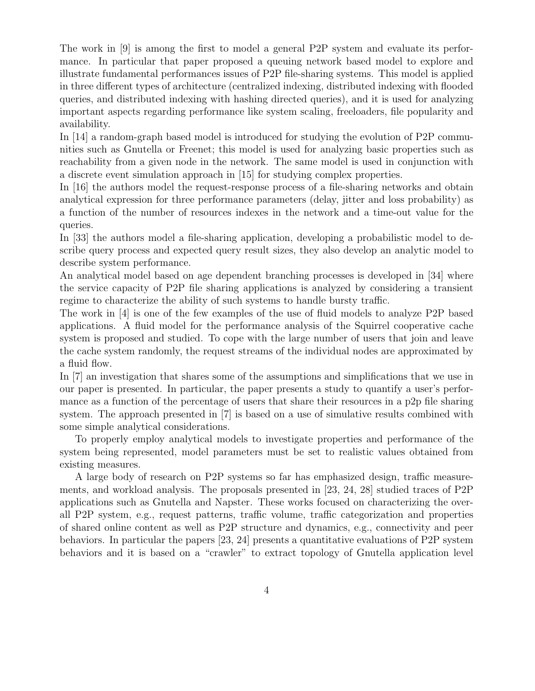The work in [9] is among the first to model a general P2P system and evaluate its performance. In particular that paper proposed a queuing network based model to explore and illustrate fundamental performances issues of P2P file-sharing systems. This model is applied in three different types of architecture (centralized indexing, distributed indexing with flooded queries, and distributed indexing with hashing directed queries), and it is used for analyzing important aspects regarding performance like system scaling, freeloaders, file popularity and availability.

In [14] a random-graph based model is introduced for studying the evolution of P2P communities such as Gnutella or Freenet; this model is used for analyzing basic properties such as reachability from a given node in the network. The same model is used in conjunction with a discrete event simulation approach in [15] for studying complex properties.

In [16] the authors model the request-response process of a file-sharing networks and obtain analytical expression for three performance parameters (delay, jitter and loss probability) as a function of the number of resources indexes in the network and a time-out value for the queries.

In [33] the authors model a file-sharing application, developing a probabilistic model to describe query process and expected query result sizes, they also develop an analytic model to describe system performance.

An analytical model based on age dependent branching processes is developed in [34] where the service capacity of P2P file sharing applications is analyzed by considering a transient regime to characterize the ability of such systems to handle bursty traffic.

The work in [4] is one of the few examples of the use of fluid models to analyze P2P based applications. A fluid model for the performance analysis of the Squirrel cooperative cache system is proposed and studied. To cope with the large number of users that join and leave the cache system randomly, the request streams of the individual nodes are approximated by a fluid flow.

In [7] an investigation that shares some of the assumptions and simplifications that we use in our paper is presented. In particular, the paper presents a study to quantify a user's performance as a function of the percentage of users that share their resources in a p2p file sharing system. The approach presented in [7] is based on a use of simulative results combined with some simple analytical considerations.

To properly employ analytical models to investigate properties and performance of the system being represented, model parameters must be set to realistic values obtained from existing measures.

A large body of research on P2P systems so far has emphasized design, traffic measurements, and workload analysis. The proposals presented in [23, 24, 28] studied traces of P2P applications such as Gnutella and Napster. These works focused on characterizing the overall P2P system, e.g., request patterns, traffic volume, traffic categorization and properties of shared online content as well as P2P structure and dynamics, e.g., connectivity and peer behaviors. In particular the papers [23, 24] presents a quantitative evaluations of P2P system behaviors and it is based on a "crawler" to extract topology of Gnutella application level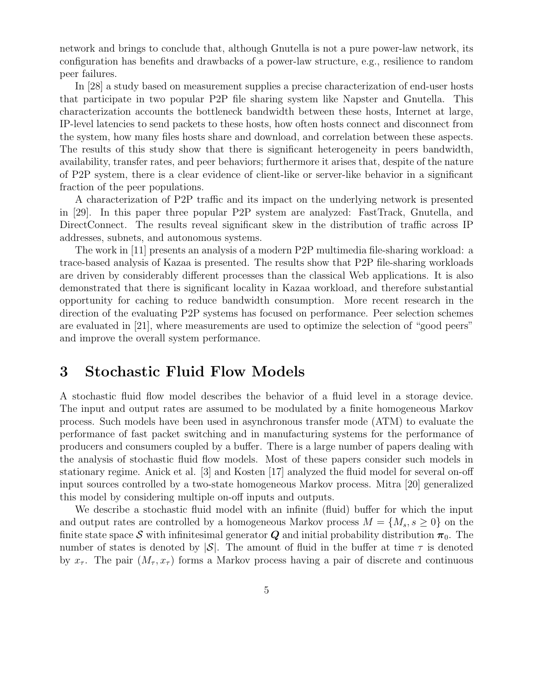network and brings to conclude that, although Gnutella is not a pure power-law network, its configuration has benefits and drawbacks of a power-law structure, e.g., resilience to random peer failures.

In [28] a study based on measurement supplies a precise characterization of end-user hosts that participate in two popular P2P file sharing system like Napster and Gnutella. This characterization accounts the bottleneck bandwidth between these hosts, Internet at large, IP-level latencies to send packets to these hosts, how often hosts connect and disconnect from the system, how many files hosts share and download, and correlation between these aspects. The results of this study show that there is significant heterogeneity in peers bandwidth, availability, transfer rates, and peer behaviors; furthermore it arises that, despite of the nature of P2P system, there is a clear evidence of client-like or server-like behavior in a significant fraction of the peer populations.

A characterization of P2P traffic and its impact on the underlying network is presented in [29]. In this paper three popular P2P system are analyzed: FastTrack, Gnutella, and DirectConnect. The results reveal significant skew in the distribution of traffic across IP addresses, subnets, and autonomous systems.

The work in [11] presents an analysis of a modern P2P multimedia file-sharing workload: a trace-based analysis of Kazaa is presented. The results show that P2P file-sharing workloads are driven by considerably different processes than the classical Web applications. It is also demonstrated that there is significant locality in Kazaa workload, and therefore substantial opportunity for caching to reduce bandwidth consumption. More recent research in the direction of the evaluating P2P systems has focused on performance. Peer selection schemes are evaluated in [21], where measurements are used to optimize the selection of "good peers" and improve the overall system performance.

### 3 Stochastic Fluid Flow Models

A stochastic fluid flow model describes the behavior of a fluid level in a storage device. The input and output rates are assumed to be modulated by a finite homogeneous Markov process. Such models have been used in asynchronous transfer mode (ATM) to evaluate the performance of fast packet switching and in manufacturing systems for the performance of producers and consumers coupled by a buffer. There is a large number of papers dealing with the analysis of stochastic fluid flow models. Most of these papers consider such models in stationary regime. Anick et al. [3] and Kosten [17] analyzed the fluid model for several on-off input sources controlled by a two-state homogeneous Markov process. Mitra [20] generalized this model by considering multiple on-off inputs and outputs.

We describe a stochastic fluid model with an infinite (fluid) buffer for which the input and output rates are controlled by a homogeneous Markov process  $M = \{M_s, s \geq 0\}$  on the finite state space S with infinitesimal generator Q and initial probability distribution  $\pi_0$ . The number of states is denoted by  $|\mathcal{S}|$ . The amount of fluid in the buffer at time  $\tau$  is denoted by  $x_{\tau}$ . The pair  $(M_{\tau}, x_{\tau})$  forms a Markov process having a pair of discrete and continuous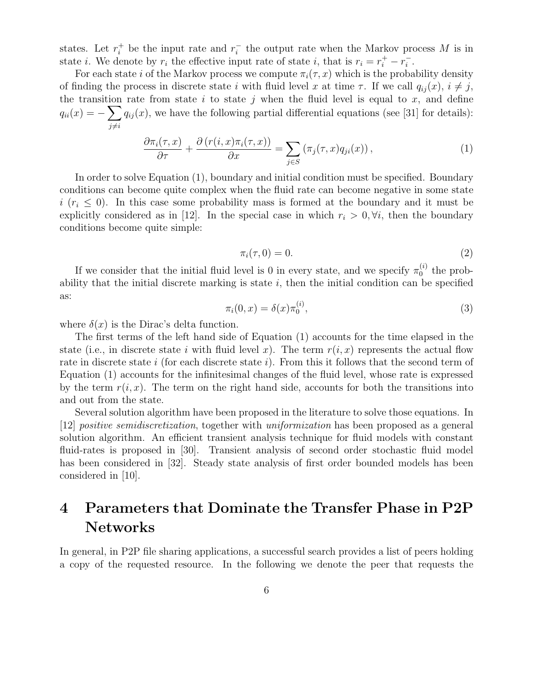states. Let  $r_i^+$  be the input rate and  $r_i^-$  the output rate when the Markov process M is in state *i*. We denote by  $r_i$  the effective input rate of state *i*, that is  $r_i = r_i^+ - r_i^-$ .

For each state i of the Markov process we compute  $\pi_i(\tau, x)$  which is the probability density of finding the process in discrete state i with fluid level x at time  $\tau$ . If we call  $q_{ij}(x)$ ,  $i \neq j$ , the transition rate from state i to state j when the fluid level is equal to  $x$ , and define  $q_{ii}(x) = -\sum$  $j\neq i$  $q_{ij}(x)$ , we have the following partial differential equations (see [31] for details):

$$
\frac{\partial \pi_i(\tau, x)}{\partial \tau} + \frac{\partial (r(i, x)\pi_i(\tau, x))}{\partial x} = \sum_{j \in S} (\pi_j(\tau, x)q_{ji}(x)), \qquad (1)
$$

In order to solve Equation (1), boundary and initial condition must be specified. Boundary conditions can become quite complex when the fluid rate can become negative in some state  $i$  ( $r_i \leq 0$ ). In this case some probability mass is formed at the boundary and it must be explicitly considered as in [12]. In the special case in which  $r_i > 0$ ,  $\forall i$ , then the boundary conditions become quite simple:

$$
\pi_i(\tau,0) = 0.\tag{2}
$$

If we consider that the initial fluid level is 0 in every state, and we specify  $\pi_0^{(i)}$  $_0^{(i)}$  the probability that the initial discrete marking is state  $i$ , then the initial condition can be specified as:

$$
\pi_i(0, x) = \delta(x)\pi_0^{(i)},
$$
\n(3)

where  $\delta(x)$  is the Dirac's delta function.

The first terms of the left hand side of Equation (1) accounts for the time elapsed in the state (i.e., in discrete state i with fluid level x). The term  $r(i, x)$  represents the actual flow rate in discrete state i (for each discrete state i). From this it follows that the second term of Equation (1) accounts for the infinitesimal changes of the fluid level, whose rate is expressed by the term  $r(i, x)$ . The term on the right hand side, accounts for both the transitions into and out from the state.

Several solution algorithm have been proposed in the literature to solve those equations. In [12] positive semidiscretization, together with uniformization has been proposed as a general solution algorithm. An efficient transient analysis technique for fluid models with constant fluid-rates is proposed in [30]. Transient analysis of second order stochastic fluid model has been considered in [32]. Steady state analysis of first order bounded models has been considered in [10].

# 4 Parameters that Dominate the Transfer Phase in P2P Networks

In general, in P2P file sharing applications, a successful search provides a list of peers holding a copy of the requested resource. In the following we denote the peer that requests the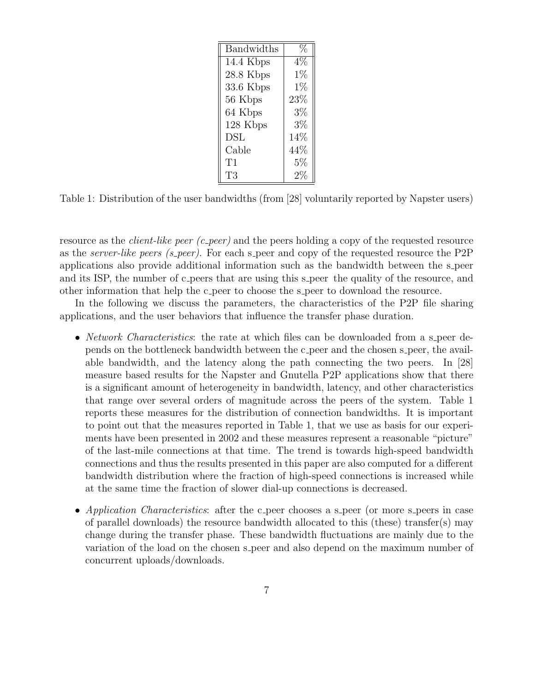| <b>Bandwidths</b> |        |
|-------------------|--------|
| 14.4 Kbps         | $4\%$  |
| $28.8$ Kbps       | $1\%$  |
| $33.6$ Kbps       | $1\%$  |
| 56 Kbps           | $23\%$ |
| 64 Kbps           | $3\%$  |
| 128 Kbps          | $3\%$  |
| DSL               | 14%    |
| Cable             | 44%    |
| T1                | $5\%$  |
| T3                | $2\%$  |

Table 1: Distribution of the user bandwidths (from [28] voluntarily reported by Napster users)

resource as the *client-like peer (c\_peer)* and the peers holding a copy of the requested resource as the server-like peers (s peer). For each s peer and copy of the requested resource the P2P applications also provide additional information such as the bandwidth between the s peer and its ISP, the number of c-peers that are using this s-peer the quality of the resource, and other information that help the c peer to choose the s peer to download the resource.

In the following we discuss the parameters, the characteristics of the P2P file sharing applications, and the user behaviors that influence the transfer phase duration.

- *Network Characteristics*: the rate at which files can be downloaded from a s peer depends on the bottleneck bandwidth between the c peer and the chosen s peer, the available bandwidth, and the latency along the path connecting the two peers. In [28] measure based results for the Napster and Gnutella P2P applications show that there is a significant amount of heterogeneity in bandwidth, latency, and other characteristics that range over several orders of magnitude across the peers of the system. Table 1 reports these measures for the distribution of connection bandwidths. It is important to point out that the measures reported in Table 1, that we use as basis for our experiments have been presented in 2002 and these measures represent a reasonable "picture" of the last-mile connections at that time. The trend is towards high-speed bandwidth connections and thus the results presented in this paper are also computed for a different bandwidth distribution where the fraction of high-speed connections is increased while at the same time the fraction of slower dial-up connections is decreased.
- Application Characteristics: after the c peer chooses a s peer (or more s peers in case of parallel downloads) the resource bandwidth allocated to this (these) transfer(s) may change during the transfer phase. These bandwidth fluctuations are mainly due to the variation of the load on the chosen s peer and also depend on the maximum number of concurrent uploads/downloads.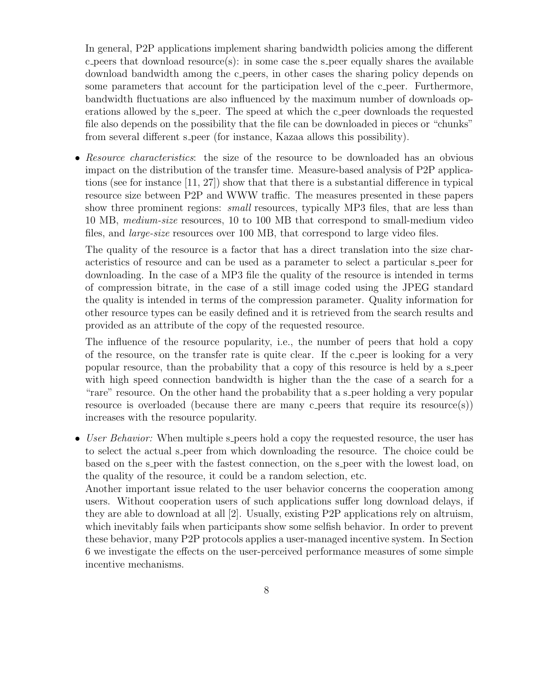In general, P2P applications implement sharing bandwidth policies among the different c peers that download resource(s): in some case the s peer equally shares the available download bandwidth among the c peers, in other cases the sharing policy depends on some parameters that account for the participation level of the c peer. Furthermore, bandwidth fluctuations are also influenced by the maximum number of downloads operations allowed by the s peer. The speed at which the c peer downloads the requested file also depends on the possibility that the file can be downloaded in pieces or "chunks" from several different s peer (for instance, Kazaa allows this possibility).

• Resource characteristics: the size of the resource to be downloaded has an obvious impact on the distribution of the transfer time. Measure-based analysis of P2P applications (see for instance [11, 27]) show that that there is a substantial difference in typical resource size between P2P and WWW traffic. The measures presented in these papers show three prominent regions: *small* resources, typically MP3 files, that are less than 10 MB, medium-size resources, 10 to 100 MB that correspond to small-medium video files, and large-size resources over 100 MB, that correspond to large video files.

The quality of the resource is a factor that has a direct translation into the size characteristics of resource and can be used as a parameter to select a particular s peer for downloading. In the case of a MP3 file the quality of the resource is intended in terms of compression bitrate, in the case of a still image coded using the JPEG standard the quality is intended in terms of the compression parameter. Quality information for other resource types can be easily defined and it is retrieved from the search results and provided as an attribute of the copy of the requested resource.

The influence of the resource popularity, i.e., the number of peers that hold a copy of the resource, on the transfer rate is quite clear. If the c peer is looking for a very popular resource, than the probability that a copy of this resource is held by a s peer with high speed connection bandwidth is higher than the the case of a search for a "rare" resource. On the other hand the probability that a s-peer holding a very popular resource is overloaded (because there are many c peers that require its resource(s)) increases with the resource popularity.

• User Behavior: When multiple s-peers hold a copy the requested resource, the user has to select the actual s peer from which downloading the resource. The choice could be based on the s-peer with the fastest connection, on the s-peer with the lowest load, on the quality of the resource, it could be a random selection, etc.

Another important issue related to the user behavior concerns the cooperation among users. Without cooperation users of such applications suffer long download delays, if they are able to download at all [2]. Usually, existing P2P applications rely on altruism, which inevitably fails when participants show some selfish behavior. In order to prevent these behavior, many P2P protocols applies a user-managed incentive system. In Section 6 we investigate the effects on the user-perceived performance measures of some simple incentive mechanisms.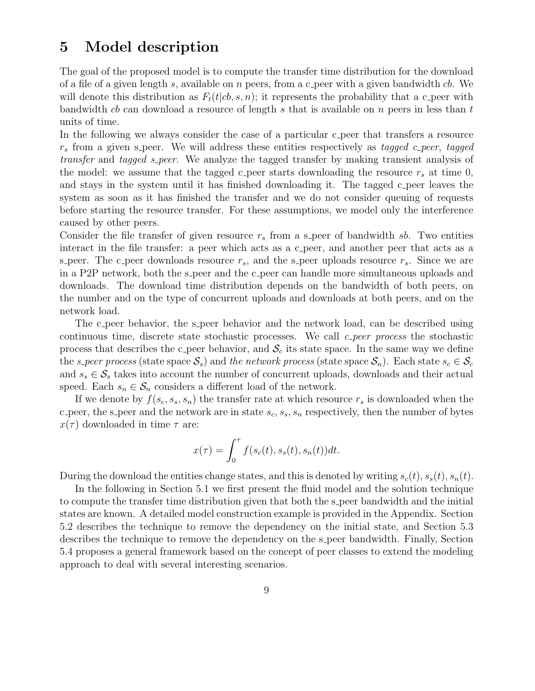# 5 Model description

The goal of the proposed model is to compute the transfer time distribution for the download of a file of a given length s, available on n peers, from a c peer with a given bandwidth  $cb$ . We will denote this distribution as  $F_t(t|cb, s, n)$ ; it represents the probability that a c peer with bandwidth cb can download a resource of length s that is available on  $n$  peers in less than t units of time.

In the following we always consider the case of a particular c peer that transfers a resource  $r<sub>s</sub>$  from a given s peer. We will address these entities respectively as tagged c peer, tagged transfer and tagged s peer. We analyze the tagged transfer by making transient analysis of the model: we assume that the tagged c-peer starts downloading the resource  $r_s$  at time 0, and stays in the system until it has finished downloading it. The tagged c-peer leaves the system as soon as it has finished the transfer and we do not consider queuing of requests before starting the resource transfer. For these assumptions, we model only the interference caused by other peers.

Consider the file transfer of given resource  $r<sub>s</sub>$  from a s-peer of bandwidth sb. Two entities interact in the file transfer: a peer which acts as a c peer, and another peer that acts as a s peer. The c peer downloads resource  $r_s$ , and the s peer uploads resource  $r_s$ . Since we are in a P2P network, both the s-peer and the c-peer can handle more simultaneous uploads and downloads. The download time distribution depends on the bandwidth of both peers, on the number and on the type of concurrent uploads and downloads at both peers, and on the network load.

The c peer behavior, the s peer behavior and the network load, can be described using continuous time, discrete state stochastic processes. We call  $c$ -peer process the stochastic process that describes the c peer behavior, and  $\mathcal{S}_c$  its state space. In the same way we define the s-peer process (state space  $S_s$ ) and the network process (state space  $S_n$ ). Each state  $s_c \in S_c$ and  $s_s \in \mathcal{S}_s$  takes into account the number of concurrent uploads, downloads and their actual speed. Each  $s_n \in \mathcal{S}_n$  considers a different load of the network.

If we denote by  $f(s_c, s_s, s_n)$  the transfer rate at which resource  $r_s$  is downloaded when the c peer, the s peer and the network are in state  $s_c$ ,  $s_s$ ,  $s_n$  respectively, then the number of bytes  $x(\tau)$  downloaded in time  $\tau$  are:

$$
x(\tau) = \int_0^{\tau} f(s_c(t), s_s(t), s_n(t))dt.
$$

During the download the entities change states, and this is denoted by writing  $s_c(t)$ ,  $s_s(t)$ ,  $s_n(t)$ .

In the following in Section 5.1 we first present the fluid model and the solution technique to compute the transfer time distribution given that both the s peer bandwidth and the initial states are known. A detailed model construction example is provided in the Appendix. Section 5.2 describes the technique to remove the dependency on the initial state, and Section 5.3 describes the technique to remove the dependency on the s peer bandwidth. Finally, Section 5.4 proposes a general framework based on the concept of peer classes to extend the modeling approach to deal with several interesting scenarios.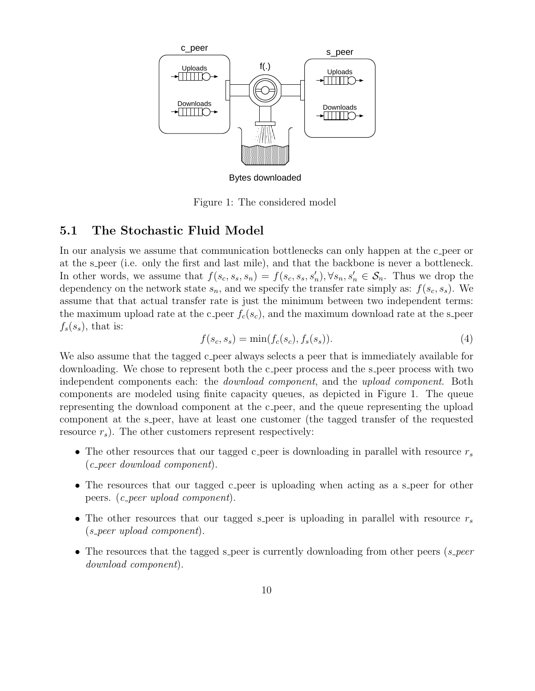

Figure 1: The considered model

#### 5.1 The Stochastic Fluid Model

In our analysis we assume that communication bottlenecks can only happen at the c peer or at the s peer (i.e. only the first and last mile), and that the backbone is never a bottleneck. In other words, we assume that  $f(s_c, s_s, s_n) = f(s_c, s_s, s'_n), \forall s_n, s'_n \in \mathcal{S}_n$ . Thus we drop the dependency on the network state  $s_n$ , and we specify the transfer rate simply as:  $f(s_c, s_s)$ . We assume that that actual transfer rate is just the minimum between two independent terms: the maximum upload rate at the c peer  $f_c(s_c)$ , and the maximum download rate at the s peer  $f_s(s_s)$ , that is:

$$
f(s_c, s_s) = \min(f_c(s_c), f_s(s_s)).
$$
\n(4)

We also assume that the tagged c peer always selects a peer that is immediately available for downloading. We chose to represent both the c peer process and the s peer process with two independent components each: the *download component*, and the upload component. Both components are modeled using finite capacity queues, as depicted in Figure 1. The queue representing the download component at the c peer, and the queue representing the upload component at the s-peer, have at least one customer (the tagged transfer of the requested resource  $r_s$ ). The other customers represent respectively:

- The other resources that our tagged c peer is downloading in parallel with resource  $r_s$ (c peer download component).
- The resources that our tagged c peer is uploading when acting as a s peer for other peers. (c peer upload component).
- The other resources that our tagged s peer is uploading in parallel with resource  $r_s$ (s peer upload component).
- The resources that the tagged s peer is currently downloading from other peers  $(s\text{-}peer)$ download component).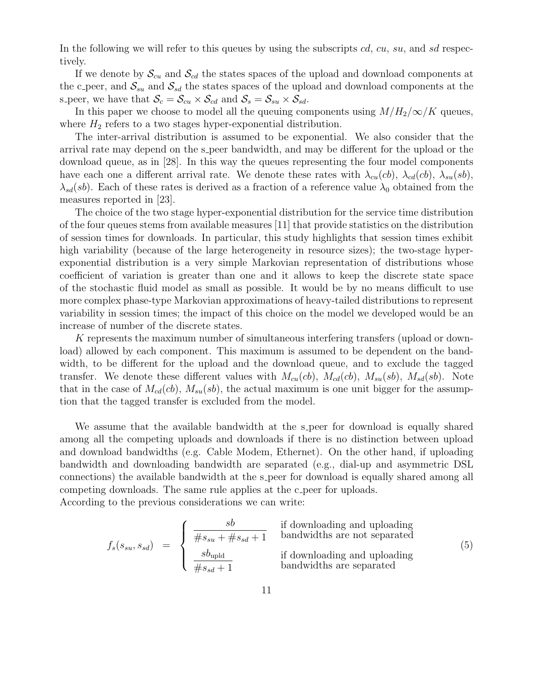In the following we will refer to this queues by using the subscripts  $cd$ ,  $cu$ ,  $su$ , and  $sd$  respectively.

If we denote by  $\mathcal{S}_{cu}$  and  $\mathcal{S}_{cd}$  the states spaces of the upload and download components at the c peer, and  $S_{su}$  and  $S_{sd}$  the states spaces of the upload and download components at the s peer, we have that  $S_c = S_{cu} \times S_{cd}$  and  $S_s = S_{su} \times S_{sd}$ .

In this paper we choose to model all the queuing components using  $M/H_2/\infty/K$  queues, where  $H_2$  refers to a two stages hyper-exponential distribution.

The inter-arrival distribution is assumed to be exponential. We also consider that the arrival rate may depend on the s-peer bandwidth, and may be different for the upload or the download queue, as in [28]. In this way the queues representing the four model components have each one a different arrival rate. We denote these rates with  $\lambda_{cu}(cb)$ ,  $\lambda_{cd}(cb)$ ,  $\lambda_{su}(sb)$ ,  $\lambda_{sd}(sb)$ . Each of these rates is derived as a fraction of a reference value  $\lambda_0$  obtained from the measures reported in [23].

The choice of the two stage hyper-exponential distribution for the service time distribution of the four queues stems from available measures [11] that provide statistics on the distribution of session times for downloads. In particular, this study highlights that session times exhibit high variability (because of the large heterogeneity in resource sizes); the two-stage hyperexponential distribution is a very simple Markovian representation of distributions whose coefficient of variation is greater than one and it allows to keep the discrete state space of the stochastic fluid model as small as possible. It would be by no means difficult to use more complex phase-type Markovian approximations of heavy-tailed distributions to represent variability in session times; the impact of this choice on the model we developed would be an increase of number of the discrete states.

K represents the maximum number of simultaneous interfering transfers (upload or download) allowed by each component. This maximum is assumed to be dependent on the bandwidth, to be different for the upload and the download queue, and to exclude the tagged transfer. We denote these different values with  $M_{cu}(cb)$ ,  $M_{cd}(cb)$ ,  $M_{su}(sb)$ ,  $M_{sd}(sb)$ . Note that in the case of  $M_{cd}(cb)$ ,  $M_{su}(sb)$ , the actual maximum is one unit bigger for the assumption that the tagged transfer is excluded from the model.

We assume that the available bandwidth at the s peer for download is equally shared among all the competing uploads and downloads if there is no distinction between upload and download bandwidths (e.g. Cable Modem, Ethernet). On the other hand, if uploading bandwidth and downloading bandwidth are separated (e.g., dial-up and asymmetric DSL connections) the available bandwidth at the s peer for download is equally shared among all competing downloads. The same rule applies at the c peer for uploads. According to the previous considerations we can write:

$$
f_s(s_{su}, s_{sd}) = \begin{cases} \frac{sb}{\#s_{su} + \#s_{sd} + 1} & \text{if downloading and uploading} \\ \frac{s b_{upld}}{\#s_{sd} + 1} & \text{if downloading and uploading} \\ \frac{s b_{upld}}{\#s_{sd} + 1} & \text{bandwidths are separated} \end{cases}
$$
(5)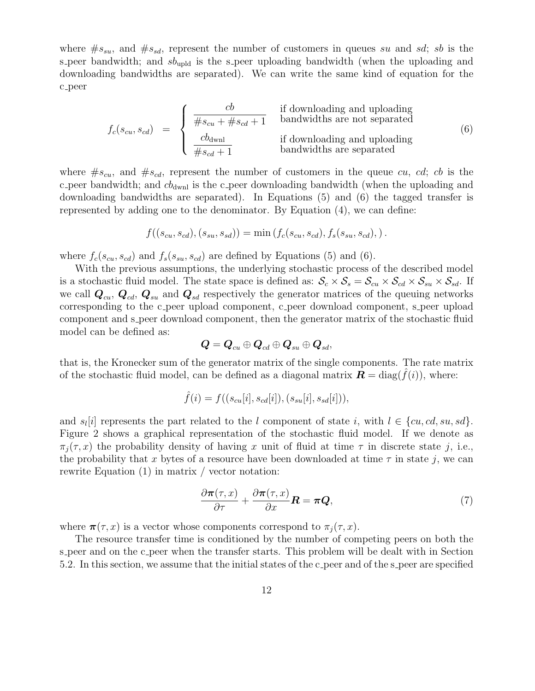where  $\#s_{su}$ , and  $\#s_{sd}$ , represent the number of customers in queues su and sd; sb is the s peer bandwidth; and  $sb_{\text{upld}}$  is the s peer uploading bandwidth (when the uploading and downloading bandwidths are separated). We can write the same kind of equation for the c peer

$$
f_c(s_{cu}, s_{cd}) = \begin{cases} \frac{cb}{\#s_{cu} + \#s_{cd} + 1} & \text{if downloading and uploaded} \\ \frac{cb_{\text{dwnl}}}{\#s_{cd} + 1} & \text{if downloading and uploaded} \\ \frac{cb_{\text{dwnl}}}{\#s_{cd} + 1} & \text{if downloading and uploaded} \end{cases}
$$
(6)

where  $#s_{cu}$ , and  $#s_{cd}$ , represent the number of customers in the queue cu, cd; cb is the c peer bandwidth; and  $cb_{dwnl}$  is the c peer downloading bandwidth (when the uploading and downloading bandwidths are separated). In Equations (5) and (6) the tagged transfer is represented by adding one to the denominator. By Equation (4), we can define:

$$
f((s_{cu}, s_{cd}), (s_{su}, s_{sd})) = \min(f_c(s_{cu}, s_{cd}), f_s(s_{su}, s_{cd}),).
$$

where  $f_c(s_{cu}, s_{cd})$  and  $f_s(s_{su}, s_{cd})$  are defined by Equations (5) and (6).

With the previous assumptions, the underlying stochastic process of the described model is a stochastic fluid model. The state space is defined as:  $S_c \times S_s = S_{cu} \times S_{cd} \times S_{su} \times S_{sd}$ . If we call  $Q_{cu}$ ,  $Q_{cd}$ ,  $Q_{su}$  and  $Q_{sd}$  respectively the generator matrices of the queuing networks corresponding to the c peer upload component, c peer download component, s peer upload component and s peer download component, then the generator matrix of the stochastic fluid model can be defined as:

$$
\boldsymbol{Q} = \boldsymbol{Q}_{cu} \oplus \boldsymbol{Q}_{cd} \oplus \boldsymbol{Q}_{su} \oplus \boldsymbol{Q}_{sd},
$$

that is, the Kronecker sum of the generator matrix of the single components. The rate matrix of the stochastic fluid model, can be defined as a diagonal matrix  $\mathbf{R} = \text{diag}(\hat{f}(i))$ , where:

$$
\hat{f}(i) = f((s_{cu}[i], s_{cd}[i]), (s_{su}[i], s_{sd}[i])),
$$

and  $s_l[i]$  represents the part related to the l component of state i, with  $l \in \{cu, cd, su, sd\}$ . Figure 2 shows a graphical representation of the stochastic fluid model. If we denote as  $\pi_i(\tau, x)$  the probability density of having x unit of fluid at time  $\tau$  in discrete state j, i.e., the probability that x bytes of a resource have been downloaded at time  $\tau$  in state j, we can rewrite Equation (1) in matrix / vector notation:

$$
\frac{\partial \pi(\tau, x)}{\partial \tau} + \frac{\partial \pi(\tau, x)}{\partial x} \mathbf{R} = \pi \mathbf{Q},\tag{7}
$$

where  $\pi(\tau, x)$  is a vector whose components correspond to  $\pi_i(\tau, x)$ .

The resource transfer time is conditioned by the number of competing peers on both the s peer and on the c peer when the transfer starts. This problem will be dealt with in Section 5.2. In this section, we assume that the initial states of the c peer and of the s peer are specified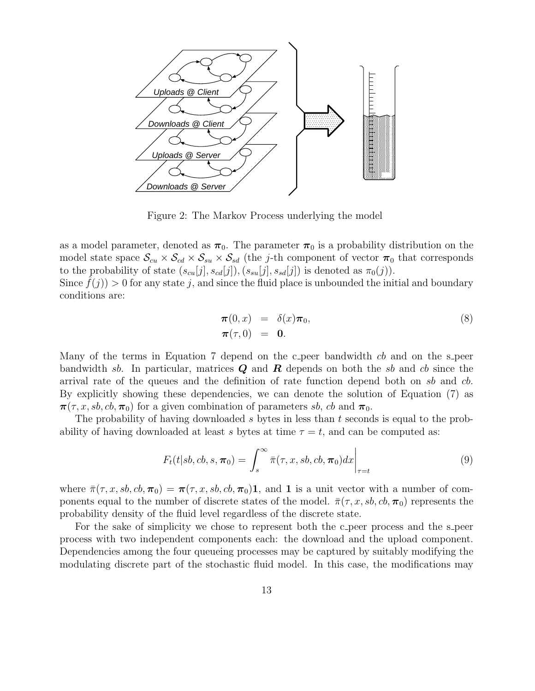

Figure 2: The Markov Process underlying the model

as a model parameter, denoted as  $\pi_0$ . The parameter  $\pi_0$  is a probability distribution on the model state space  $S_{cu} \times S_{cd} \times S_{su} \times S_{sd}$  (the j-th component of vector  $\pi_0$  that corresponds to the probability of state  $(s_{cu}[j], s_{cd}[j]), (s_{su}[j], s_{sd}[j])$  is denoted as  $\pi_0(j)$ ).

Since  $f(j) > 0$  for any state j, and since the fluid place is unbounded the initial and boundary conditions are:

$$
\begin{array}{rcl}\n\pi(0,x) & = & \delta(x)\pi_0, \\
\pi(\tau,0) & = & 0.\n\end{array} \tag{8}
$$

Many of the terms in Equation 7 depend on the c peer bandwidth cb and on the s peer bandwidth sb. In particular, matrices  $Q$  and  $R$  depends on both the sb and cb since the arrival rate of the queues and the definition of rate function depend both on sb and cb. By explicitly showing these dependencies, we can denote the solution of Equation (7) as  $\pi(\tau, x, sb, cb, \pi_0)$  for a given combination of parameters sb, cb and  $\pi_0$ .

The probability of having downloaded s bytes in less than t seconds is equal to the probability of having downloaded at least s bytes at time  $\tau = t$ , and can be computed as:

$$
F_t(t|sb,cb,s,\boldsymbol{\pi}_0) = \int_s^\infty \bar{\pi}(\tau,x,sb,cb,\boldsymbol{\pi}_0)dx \bigg|_{\tau=t}
$$
\n(9)

where  $\bar{\pi}(\tau, x, sb, cb, \pi_0) = \pi(\tau, x, sb, cb, \pi_0)$ , and 1 is a unit vector with a number of components equal to the number of discrete states of the model.  $\bar{\pi}(\tau, x, sb, cb, \pi_0)$  represents the probability density of the fluid level regardless of the discrete state.

For the sake of simplicity we chose to represent both the c peer process and the s peer process with two independent components each: the download and the upload component. Dependencies among the four queueing processes may be captured by suitably modifying the modulating discrete part of the stochastic fluid model. In this case, the modifications may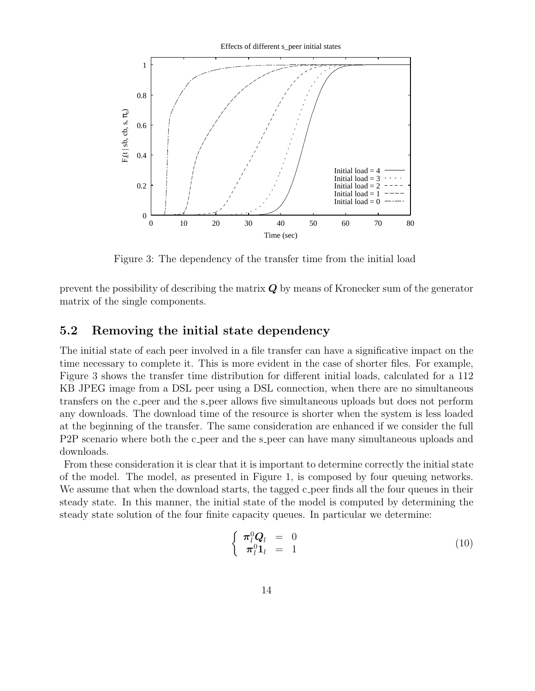

Figure 3: The dependency of the transfer time from the initial load

prevent the possibility of describing the matrix  $Q$  by means of Kronecker sum of the generator matrix of the single components.

#### 5.2 Removing the initial state dependency

The initial state of each peer involved in a file transfer can have a significative impact on the time necessary to complete it. This is more evident in the case of shorter files. For example, Figure 3 shows the transfer time distribution for different initial loads, calculated for a 112 KB JPEG image from a DSL peer using a DSL connection, when there are no simultaneous transfers on the c peer and the s peer allows five simultaneous uploads but does not perform any downloads. The download time of the resource is shorter when the system is less loaded at the beginning of the transfer. The same consideration are enhanced if we consider the full P2P scenario where both the c peer and the s peer can have many simultaneous uploads and downloads.

From these consideration it is clear that it is important to determine correctly the initial state of the model. The model, as presented in Figure 1, is composed by four queuing networks. We assume that when the download starts, the tagged c peer finds all the four queues in their steady state. In this manner, the initial state of the model is computed by determining the steady state solution of the four finite capacity queues. In particular we determine:

$$
\begin{cases} \pi_l^0 \mathbf{Q}_l = 0 \\ \pi_l^0 \mathbf{1}_l = 1 \end{cases}
$$
 (10)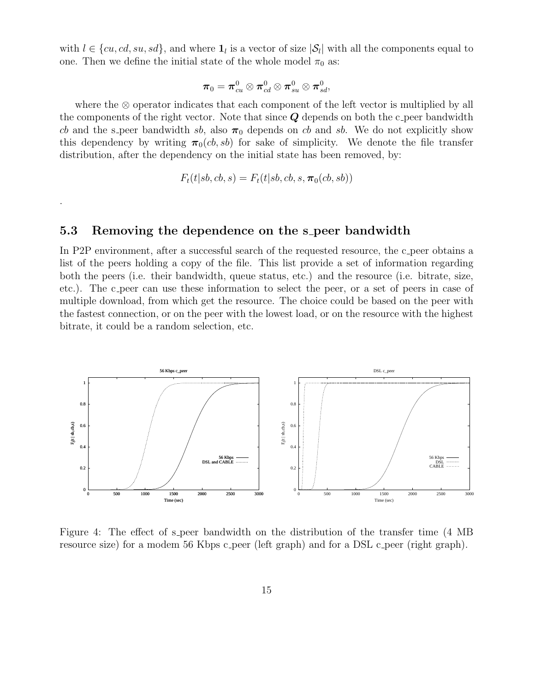with  $l \in \{cu, cd, su, sd\}$ , and where  $\mathbf{1}_l$  is a vector of size  $|\mathcal{S}_l|$  with all the components equal to one. Then we define the initial state of the whole model  $\pi_0$  as:

$$
\boldsymbol{\pi}_0 = \boldsymbol{\pi}^0_{cu} \otimes \boldsymbol{\pi}^0_{cd} \otimes \boldsymbol{\pi}^0_{su} \otimes \boldsymbol{\pi}^0_{sd},
$$

where the ⊗ operator indicates that each component of the left vector is multiplied by all the components of the right vector. Note that since  $Q$  depends on both the c-peer bandwidth cb and the s peer bandwidth sb, also  $\pi_0$  depends on cb and sb. We do not explicitly show this dependency by writing  $\pi_0(c, s b)$  for sake of simplicity. We denote the file transfer distribution, after the dependency on the initial state has been removed, by:

$$
F_t(t|sb,cb,s) = F_t(t|sb,cb,s,\boldsymbol{\pi}_0(cb,sb))
$$

#### 5.3 Removing the dependence on the s peer bandwidth

.

In P2P environment, after a successful search of the requested resource, the c peer obtains a list of the peers holding a copy of the file. This list provide a set of information regarding both the peers (i.e. their bandwidth, queue status, etc.) and the resource (i.e. bitrate, size, etc.). The c peer can use these information to select the peer, or a set of peers in case of multiple download, from which get the resource. The choice could be based on the peer with the fastest connection, or on the peer with the lowest load, or on the resource with the highest bitrate, it could be a random selection, etc.



Figure 4: The effect of s peer bandwidth on the distribution of the transfer time (4 MB resource size) for a modem 56 Kbps c peer (left graph) and for a DSL c peer (right graph).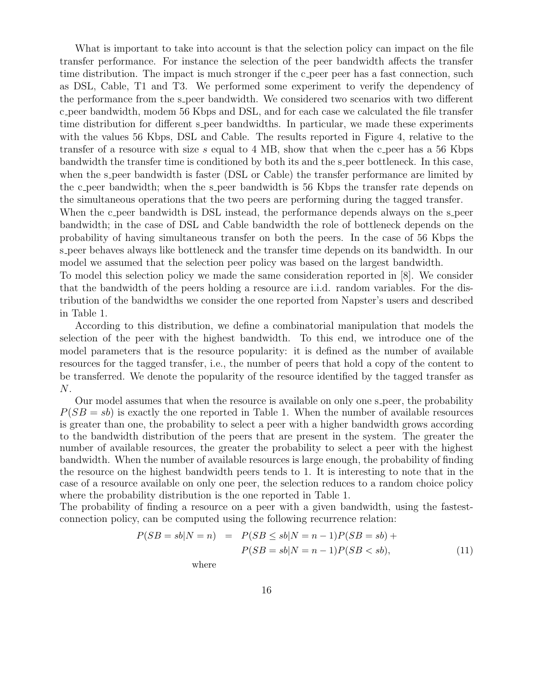What is important to take into account is that the selection policy can impact on the file transfer performance. For instance the selection of the peer bandwidth affects the transfer time distribution. The impact is much stronger if the c peer peer has a fast connection, such as DSL, Cable, T1 and T3. We performed some experiment to verify the dependency of the performance from the s peer bandwidth. We considered two scenarios with two different c peer bandwidth, modem 56 Kbps and DSL, and for each case we calculated the file transfer time distribution for different s peer bandwidths. In particular, we made these experiments with the values 56 Kbps, DSL and Cable. The results reported in Figure 4, relative to the transfer of a resource with size s equal to 4 MB, show that when the c peer has a 56 Kbps bandwidth the transfer time is conditioned by both its and the s peer bottleneck. In this case, when the s-peer bandwidth is faster (DSL or Cable) the transfer performance are limited by the c peer bandwidth; when the s peer bandwidth is 56 Kbps the transfer rate depends on the simultaneous operations that the two peers are performing during the tagged transfer.

When the c peer bandwidth is DSL instead, the performance depends always on the s peer bandwidth; in the case of DSL and Cable bandwidth the role of bottleneck depends on the probability of having simultaneous transfer on both the peers. In the case of 56 Kbps the s peer behaves always like bottleneck and the transfer time depends on its bandwidth. In our model we assumed that the selection peer policy was based on the largest bandwidth.

To model this selection policy we made the same consideration reported in [8]. We consider that the bandwidth of the peers holding a resource are i.i.d. random variables. For the distribution of the bandwidths we consider the one reported from Napster's users and described in Table 1.

According to this distribution, we define a combinatorial manipulation that models the selection of the peer with the highest bandwidth. To this end, we introduce one of the model parameters that is the resource popularity: it is defined as the number of available resources for the tagged transfer, i.e., the number of peers that hold a copy of the content to be transferred. We denote the popularity of the resource identified by the tagged transfer as N.

Our model assumes that when the resource is available on only one s peer, the probability  $P(SB = sb)$  is exactly the one reported in Table 1. When the number of available resources is greater than one, the probability to select a peer with a higher bandwidth grows according to the bandwidth distribution of the peers that are present in the system. The greater the number of available resources, the greater the probability to select a peer with the highest bandwidth. When the number of available resources is large enough, the probability of finding the resource on the highest bandwidth peers tends to 1. It is interesting to note that in the case of a resource available on only one peer, the selection reduces to a random choice policy where the probability distribution is the one reported in Table 1.

The probability of finding a resource on a peer with a given bandwidth, using the fastestconnection policy, can be computed using the following recurrence relation:

$$
P(SB = sb|N = n) = P(SB \le sb|N = n - 1)P(SB = sb) +
$$

$$
P(SB = sb|N = n - 1)P(SB < sb),
$$
(11)

where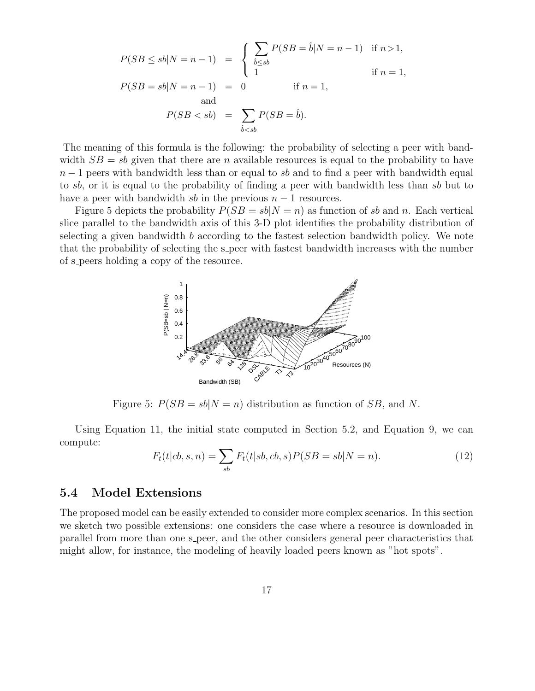$$
P(SB \le sb|N = n - 1) = \begin{cases} \sum_{\hat{b} \le sb} P(SB = \hat{b}|N = n - 1) & \text{if } n > 1, \\ 1 & \text{if } n = 1, \end{cases}
$$
  

$$
P(SB = sb|N = n - 1) = 0 \quad \text{if } n = 1, \text{and}
$$
  

$$
P(SB < sb) = \sum_{\hat{b} < sb} P(SB = \hat{b}).
$$

The meaning of this formula is the following: the probability of selecting a peer with bandwidth  $SB = sb$  given that there are n available resources is equal to the probability to have  $n-1$  peers with bandwidth less than or equal to sb and to find a peer with bandwidth equal to sb, or it is equal to the probability of finding a peer with bandwidth less than sb but to have a peer with bandwidth sb in the previous  $n-1$  resources.

Figure 5 depicts the probability  $P(SB = sb|N = n)$  as function of sb and n. Each vertical slice parallel to the bandwidth axis of this 3-D plot identifies the probability distribution of selecting a given bandwidth b according to the fastest selection bandwidth policy. We note that the probability of selecting the s peer with fastest bandwidth increases with the number of s peers holding a copy of the resource.



Figure 5:  $P(SB = sb|N = n)$  distribution as function of SB, and N.

Using Equation 11, the initial state computed in Section 5.2, and Equation 9, we can compute:

$$
F_t(t|cb, s, n) = \sum_{sb} F_t(t|sb, cb, s) P(SB = sb|N = n).
$$
 (12)

#### 5.4 Model Extensions

The proposed model can be easily extended to consider more complex scenarios. In this section we sketch two possible extensions: one considers the case where a resource is downloaded in parallel from more than one s peer, and the other considers general peer characteristics that might allow, for instance, the modeling of heavily loaded peers known as "hot spots".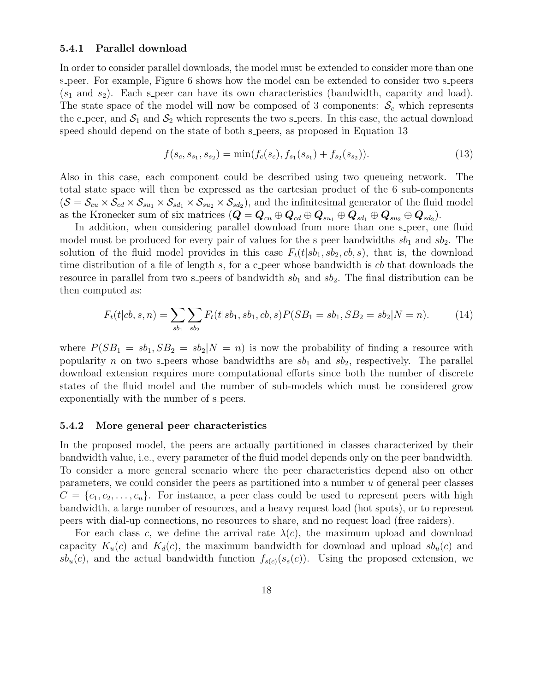#### 5.4.1 Parallel download

In order to consider parallel downloads, the model must be extended to consider more than one s peer. For example, Figure 6 shows how the model can be extended to consider two s peers  $(s_1 \text{ and } s_2)$ . Each s peer can have its own characteristics (bandwidth, capacity and load). The state space of the model will now be composed of 3 components:  $\mathcal{S}_c$  which represents the c peer, and  $S_1$  and  $S_2$  which represents the two s peers. In this case, the actual download speed should depend on the state of both s peers, as proposed in Equation 13

$$
f(s_c, s_{s_1}, s_{s_2}) = \min(f_c(s_c), f_{s_1}(s_{s_1}) + f_{s_2}(s_{s_2})).
$$
\n(13)

Also in this case, each component could be described using two queueing network. The total state space will then be expressed as the cartesian product of the 6 sub-components  $(S = S_{cu} \times S_{cd} \times S_{su_1} \times S_{sd_1} \times S_{su_2} \times S_{sd_2})$ , and the infinitesimal generator of the fluid model as the Kronecker sum of six matrices  $(Q = \mathbf{Q}_{cu} \oplus \mathbf{Q}_{cd} \oplus \mathbf{Q}_{su_1} \oplus \mathbf{Q}_{sd_1} \oplus \mathbf{Q}_{su_2} \oplus \mathbf{Q}_{sd_2}).$ 

In addition, when considering parallel download from more than one s-peer, one fluid model must be produced for every pair of values for the s-peer bandwidths  $sb_1$  and  $sb_2$ . The solution of the fluid model provides in this case  $F_t(t|sb_1, sb_2, cb, s)$ , that is, the download time distribution of a file of length  $s$ , for a c peer whose bandwidth is  $cb$  that downloads the resource in parallel from two s peers of bandwidth  $sb_1$  and  $sb_2$ . The final distribution can be then computed as:

$$
F_t(t|cb, s, n) = \sum_{sb_1} \sum_{sb_2} F_t(t|sb_1, sb_1, cb, s) P(SB_1 = sb_1, SB_2 = sb_2 | N = n).
$$
 (14)

where  $P(SB_1 = sb_1, SB_2 = sb_2 | N = n)$  is now the probability of finding a resource with popularity n on two s-peers whose bandwidths are  $sb_1$  and  $sb_2$ , respectively. The parallel download extension requires more computational efforts since both the number of discrete states of the fluid model and the number of sub-models which must be considered grow exponentially with the number of s peers.

#### 5.4.2 More general peer characteristics

In the proposed model, the peers are actually partitioned in classes characterized by their bandwidth value, i.e., every parameter of the fluid model depends only on the peer bandwidth. To consider a more general scenario where the peer characteristics depend also on other parameters, we could consider the peers as partitioned into a number u of general peer classes  $C = \{c_1, c_2, \ldots, c_u\}$ . For instance, a peer class could be used to represent peers with high bandwidth, a large number of resources, and a heavy request load (hot spots), or to represent peers with dial-up connections, no resources to share, and no request load (free raiders).

For each class c, we define the arrival rate  $\lambda(c)$ , the maximum upload and download capacity  $K_u(c)$  and  $K_d(c)$ , the maximum bandwidth for download and upload  $sb_u(c)$  and  $sb_u(c)$ , and the actual bandwidth function  $f_{s(c)}(s_s(c))$ . Using the proposed extension, we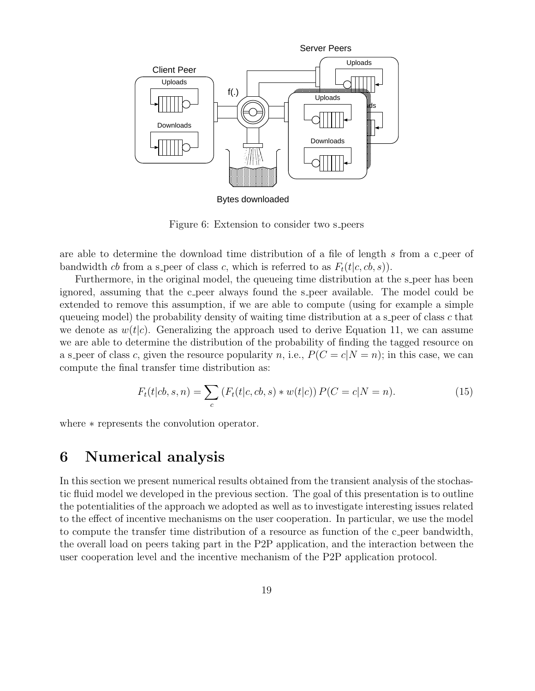

Bytes downloaded

Figure 6: Extension to consider two s peers

are able to determine the download time distribution of a file of length s from a c peer of bandwidth cb from a s-peer of class c, which is referred to as  $F_t(t|c, cb, s)$ .

Furthermore, in the original model, the queueing time distribution at the s-peer has been ignored, assuming that the c-peer always found the s-peer available. The model could be extended to remove this assumption, if we are able to compute (using for example a simple queueing model) the probability density of waiting time distribution at a s peer of class  $c$  that we denote as  $w(t|c)$ . Generalizing the approach used to derive Equation 11, we can assume we are able to determine the distribution of the probability of finding the tagged resource on a s peer of class c, given the resource popularity n, i.e.,  $P(C = c|N = n)$ ; in this case, we can compute the final transfer time distribution as:

$$
F_t(t|cb, s, n) = \sum_c (F_t(t|c, cb, s) * w(t|c)) P(C = c|N = n).
$$
 (15)

where ∗ represents the convolution operator.

### 6 Numerical analysis

In this section we present numerical results obtained from the transient analysis of the stochastic fluid model we developed in the previous section. The goal of this presentation is to outline the potentialities of the approach we adopted as well as to investigate interesting issues related to the effect of incentive mechanisms on the user cooperation. In particular, we use the model to compute the transfer time distribution of a resource as function of the c peer bandwidth, the overall load on peers taking part in the P2P application, and the interaction between the user cooperation level and the incentive mechanism of the P2P application protocol.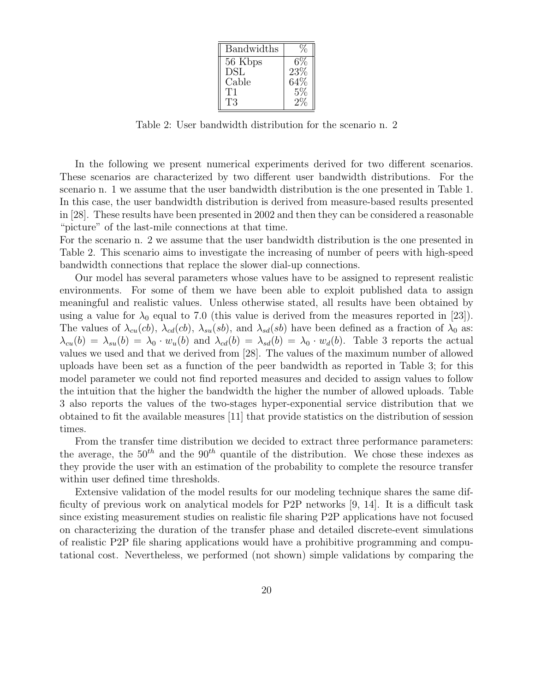| <b>Bandwidths</b> |       |
|-------------------|-------|
| 56 Kbps           | 6%    |
| <b>DSL</b>        | 23\%  |
| Cable             | 64%   |
| Т1                | $5\%$ |
| Т3                |       |

Table 2: User bandwidth distribution for the scenario n. 2

In the following we present numerical experiments derived for two different scenarios. These scenarios are characterized by two different user bandwidth distributions. For the scenario n. 1 we assume that the user bandwidth distribution is the one presented in Table 1. In this case, the user bandwidth distribution is derived from measure-based results presented in [28]. These results have been presented in 2002 and then they can be considered a reasonable "picture" of the last-mile connections at that time.

For the scenario n. 2 we assume that the user bandwidth distribution is the one presented in Table 2. This scenario aims to investigate the increasing of number of peers with high-speed bandwidth connections that replace the slower dial-up connections.

Our model has several parameters whose values have to be assigned to represent realistic environments. For some of them we have been able to exploit published data to assign meaningful and realistic values. Unless otherwise stated, all results have been obtained by using a value for  $\lambda_0$  equal to 7.0 (this value is derived from the measures reported in [23]). The values of  $\lambda_{cu}(cb)$ ,  $\lambda_{cd}(cb)$ ,  $\lambda_{su}(sb)$ , and  $\lambda_{sd}(sb)$  have been defined as a fraction of  $\lambda_0$  as:  $\lambda_{cu}(b) = \lambda_{su}(b) = \lambda_0 \cdot w_u(b)$  and  $\lambda_{cd}(b) = \lambda_{sd}(b) = \lambda_0 \cdot w_d(b)$ . Table 3 reports the actual values we used and that we derived from [28]. The values of the maximum number of allowed uploads have been set as a function of the peer bandwidth as reported in Table 3; for this model parameter we could not find reported measures and decided to assign values to follow the intuition that the higher the bandwidth the higher the number of allowed uploads. Table 3 also reports the values of the two-stages hyper-exponential service distribution that we obtained to fit the available measures [11] that provide statistics on the distribution of session times.

From the transfer time distribution we decided to extract three performance parameters: the average, the  $50<sup>th</sup>$  and the  $90<sup>th</sup>$  quantile of the distribution. We chose these indexes as they provide the user with an estimation of the probability to complete the resource transfer within user defined time thresholds.

Extensive validation of the model results for our modeling technique shares the same difficulty of previous work on analytical models for P2P networks [9, 14]. It is a difficult task since existing measurement studies on realistic file sharing P2P applications have not focused on characterizing the duration of the transfer phase and detailed discrete-event simulations of realistic P2P file sharing applications would have a prohibitive programming and computational cost. Nevertheless, we performed (not shown) simple validations by comparing the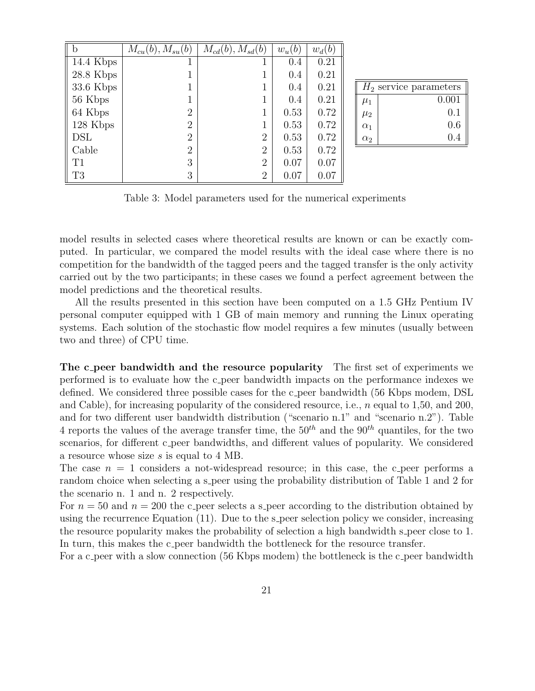|                | $M_{cu}(b)$ , $M_{su}(b)$ | $M_{cd}(b), M_{sd}(b)$ | $w_u(b)$ | $w_d$ ( $\theta$ |
|----------------|---------------------------|------------------------|----------|------------------|
| $14.4$ Kbps    |                           |                        | 0.4      | 0.21             |
| $28.8$ Kbps    |                           |                        | 0.4      | 0.21             |
| $33.6$ Kbps    |                           |                        | 0.4      | 0.21             |
| 56 Kbps        |                           |                        | 0.4      | 0.21             |
| 64 Kbps        | $\overline{2}$            |                        | 0.53     | 0.72             |
| 128 Kbps       | $\overline{2}$            |                        | 0.53     | 0.72             |
| DSL            | $\overline{2}$            | $\overline{2}$         | 0.53     | 0.72             |
| Cable          | $\overline{2}$            | $\overline{2}$         | 0.53     | 0.72             |
| T1             | 3                         | $\overline{2}$         | 0.07     | 0.07             |
| T <sub>3</sub> | 3                         | $\overline{2}$         | 0.07     | 0.07             |

|            | $H_2$ service parameters |
|------------|--------------------------|
| $\mu_1$    | 0.001                    |
| $\mu_2$    | 0.1                      |
| $\alpha_1$ | 0.6                      |
| $\alpha_2$ | (1.4)                    |

Table 3: Model parameters used for the numerical experiments

model results in selected cases where theoretical results are known or can be exactly computed. In particular, we compared the model results with the ideal case where there is no competition for the bandwidth of the tagged peers and the tagged transfer is the only activity carried out by the two participants; in these cases we found a perfect agreement between the model predictions and the theoretical results.

All the results presented in this section have been computed on a 1.5 GHz Pentium IV personal computer equipped with 1 GB of main memory and running the Linux operating systems. Each solution of the stochastic flow model requires a few minutes (usually between two and three) of CPU time.

The c peer bandwidth and the resource popularity The first set of experiments we performed is to evaluate how the c peer bandwidth impacts on the performance indexes we defined. We considered three possible cases for the c-peer bandwidth (56 Kbps modem, DSL and Cable), for increasing popularity of the considered resource, i.e.,  $n$  equal to 1,50, and 200, and for two different user bandwidth distribution ("scenario n.1" and "scenario n.2"). Table 4 reports the values of the average transfer time, the  $50<sup>th</sup>$  and the  $90<sup>th</sup>$  quantiles, for the two scenarios, for different c peer bandwidths, and different values of popularity. We considered a resource whose size s is equal to 4 MB.

The case  $n = 1$  considers a not-widespread resource; in this case, the c peer performs a random choice when selecting a s peer using the probability distribution of Table 1 and 2 for the scenario n. 1 and n. 2 respectively.

For  $n = 50$  and  $n = 200$  the c peer selects a s peer according to the distribution obtained by using the recurrence Equation  $(11)$ . Due to the s-peer selection policy we consider, increasing the resource popularity makes the probability of selection a high bandwidth s peer close to 1. In turn, this makes the c-peer bandwidth the bottleneck for the resource transfer.

For a c peer with a slow connection (56 Kbps modem) the bottleneck is the c peer bandwidth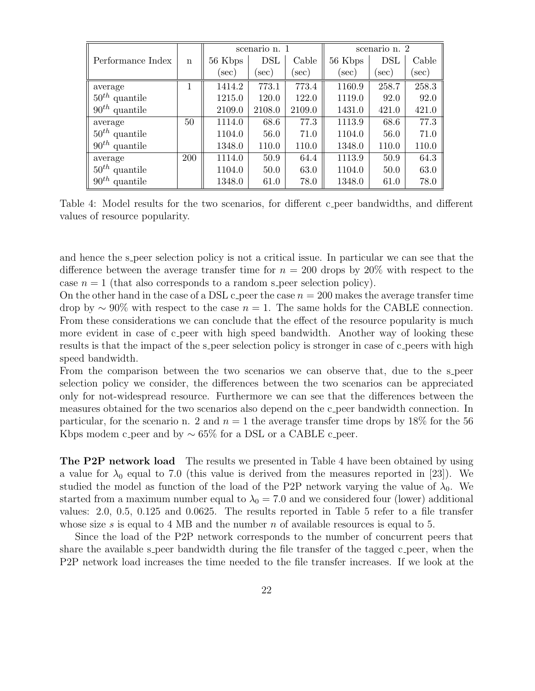|                       |            | scenario n. 1 |            |        | scenario n. 2 |            |       |
|-----------------------|------------|---------------|------------|--------|---------------|------------|-------|
| Performance Index     | n          | 56 Kbps       | <b>DSL</b> | Cable  | 56 Kbps       | <b>DSL</b> | Cable |
|                       |            | sec)          | sec)       | sec)   | sec)          | sec)       | sec)  |
| average               |            | 1414.2        | 773.1      | 773.4  | 1160.9        | 258.7      | 258.3 |
| $50^{th}$ quantile    |            | 1215.0        | 120.0      | 122.0  | 1119.0        | 92.0       | 92.0  |
| $90^{th}$ quantile    |            | 2109.0        | 2108.0     | 2109.0 | 1431.0        | 421.0      | 421.0 |
| average               | 50         | 1114.0        | 68.6       | 77.3   | 1113.9        | 68.6       | 77.3  |
| $50^{th}$ quantile    |            | 1104.0        | 56.0       | 71.0   | 1104.0        | 56.0       | 71.0  |
| $90^{th}$ quantile    |            | 1348.0        | 110.0      | 110.0  | 1348.0        | 110.0      | 110.0 |
| average               | <b>200</b> | 1114.0        | 50.9       | 64.4   | 1113.9        | 50.9       | 64.3  |
| $50^{th}$ quantile    |            | 1104.0        | 50.0       | 63.0   | 1104.0        | 50.0       | 63.0  |
| $90^{th}$<br>quantile |            | 1348.0        | 61.0       | 78.0   | 1348.0        | 61.0       | 78.0  |

Table 4: Model results for the two scenarios, for different c-peer bandwidths, and different values of resource popularity.

and hence the s peer selection policy is not a critical issue. In particular we can see that the difference between the average transfer time for  $n = 200$  drops by  $20\%$  with respect to the case  $n = 1$  (that also corresponds to a random s peer selection policy).

On the other hand in the case of a DSL c peer the case  $n = 200$  makes the average transfer time drop by  $\sim 90\%$  with respect to the case  $n = 1$ . The same holds for the CABLE connection. From these considerations we can conclude that the effect of the resource popularity is much more evident in case of c peer with high speed bandwidth. Another way of looking these results is that the impact of the s-peer selection policy is stronger in case of c-peers with high speed bandwidth.

From the comparison between the two scenarios we can observe that, due to the s-peer selection policy we consider, the differences between the two scenarios can be appreciated only for not-widespread resource. Furthermore we can see that the differences between the measures obtained for the two scenarios also depend on the c peer bandwidth connection. In particular, for the scenario n. 2 and  $n = 1$  the average transfer time drops by 18% for the 56 Kbps modem c peer and by  $\sim 65\%$  for a DSL or a CABLE c peer.

The P2P network load The results we presented in Table 4 have been obtained by using a value for  $\lambda_0$  equal to 7.0 (this value is derived from the measures reported in [23]). We studied the model as function of the load of the P2P network varying the value of  $\lambda_0$ . We started from a maximum number equal to  $\lambda_0 = 7.0$  and we considered four (lower) additional values: 2.0, 0.5, 0.125 and 0.0625. The results reported in Table 5 refer to a file transfer whose size s is equal to 4 MB and the number n of available resources is equal to 5.

Since the load of the P2P network corresponds to the number of concurrent peers that share the available s peer bandwidth during the file transfer of the tagged c peer, when the P2P network load increases the time needed to the file transfer increases. If we look at the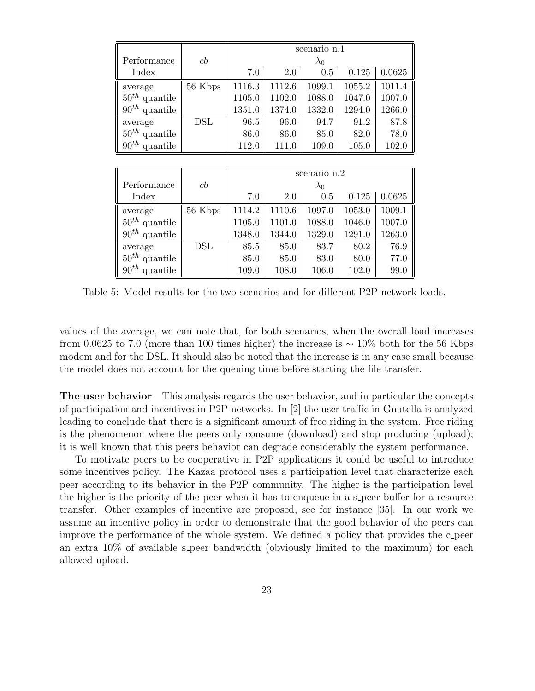|                    |                      | scenario n.1 |        |             |        |        |  |
|--------------------|----------------------|--------------|--------|-------------|--------|--------|--|
| Performance        | cb                   | $\lambda_0$  |        |             |        |        |  |
| Index              |                      | 7.0          | 2.0    | $0.5\,$     | 0.125  | 0.0625 |  |
| average            | $\overline{56}$ Kbps | 1116.3       | 1112.6 | 1099.1      | 1055.2 | 1011.4 |  |
| $50^{th}$ quantile |                      | 1105.0       | 1102.0 | 1088.0      | 1047.0 | 1007.0 |  |
| $90^{th}$ quantile |                      | 1351.0       | 1374.0 | 1332.0      | 1294.0 | 1266.0 |  |
| average            | <b>DSL</b>           | 96.5         | 96.0   | 94.7        | 91.2   | 87.8   |  |
| $50^{th}$ quantile |                      | 86.0         | 86.0   | 85.0        | 82.0   | 78.0   |  |
| $90^{th}$ quantile |                      | 112.0        | 111.0  | 109.0       | 105.0  | 102.0  |  |
|                    |                      |              |        |             |        |        |  |
|                    |                      | scenario n.2 |        |             |        |        |  |
| Performance        | cb                   |              |        | $\lambda_0$ |        |        |  |
| Index              |                      | 7.0          | 2.0    | 0.5         | 0.125  | 0.0625 |  |
| average            | 56 Kbps              | 1114.2       | 1110.6 | 1097.0      | 1053.0 | 1009.1 |  |
| $50^{th}$ quantile |                      | 1105.0       | 1101.0 | 1088.0      | 1046.0 | 1007.0 |  |
| $90^{th}$ quantile |                      | 1348.0       | 1344.0 | 1329.0      | 1291.0 | 1263.0 |  |
| average            | $\rm{DSL}$           | 85.5         | 85.0   | 83.7        | 80.2   | 76.9   |  |
| $50^{th}$ quantile |                      | 85.0         | 85.0   | 83.0        | 80.0   | 77.0   |  |
| $90^{th}$ quantile |                      | 109.0        | 108.0  | 106.0       | 102.0  | 99.0   |  |

Table 5: Model results for the two scenarios and for different P2P network loads.

values of the average, we can note that, for both scenarios, when the overall load increases from 0.0625 to 7.0 (more than 100 times higher) the increase is  $\sim 10\%$  both for the 56 Kbps modem and for the DSL. It should also be noted that the increase is in any case small because the model does not account for the queuing time before starting the file transfer.

The user behavior This analysis regards the user behavior, and in particular the concepts of participation and incentives in P2P networks. In [2] the user traffic in Gnutella is analyzed leading to conclude that there is a significant amount of free riding in the system. Free riding is the phenomenon where the peers only consume (download) and stop producing (upload); it is well known that this peers behavior can degrade considerably the system performance.

To motivate peers to be cooperative in P2P applications it could be useful to introduce some incentives policy. The Kazaa protocol uses a participation level that characterize each peer according to its behavior in the P2P community. The higher is the participation level the higher is the priority of the peer when it has to enqueue in a s-peer buffer for a resource transfer. Other examples of incentive are proposed, see for instance [35]. In our work we assume an incentive policy in order to demonstrate that the good behavior of the peers can improve the performance of the whole system. We defined a policy that provides the c peer an extra  $10\%$  of available s peer bandwidth (obviously limited to the maximum) for each allowed upload.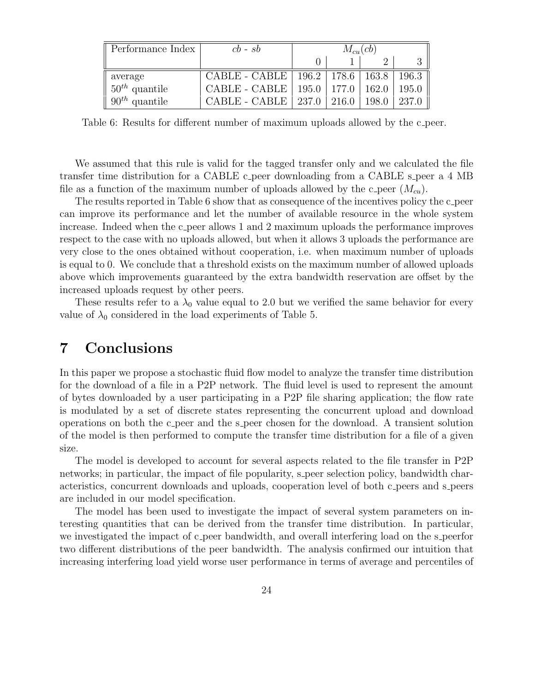| Performance Index                     | $cb - sb$                     | $M_{cu}(cb)$ |                 |       |                 |
|---------------------------------------|-------------------------------|--------------|-----------------|-------|-----------------|
|                                       |                               |              |                 |       |                 |
| average                               | CABLE - CABLE   196.2   178.6 |              |                 |       | $163.8$   196.3 |
| $\parallel$ 50 <sup>th</sup> quantile | CABLE - CABLE                 |              | $195.0$   177.0 | 162.0 | 195.0           |
| $90^{th}$ quantile                    | $CABLE - CABLE$               | 237.0        | 216.0           | 198.0 | 237.0           |

Table 6: Results for different number of maximum uploads allowed by the c-peer.

We assumed that this rule is valid for the tagged transfer only and we calculated the file transfer time distribution for a CABLE c-peer downloading from a CABLE s-peer a 4 MB file as a function of the maximum number of uploads allowed by the c-peer  $(M_{cu})$ .

The results reported in Table 6 show that as consequence of the incentives policy the c-peer can improve its performance and let the number of available resource in the whole system increase. Indeed when the c peer allows 1 and 2 maximum uploads the performance improves respect to the case with no uploads allowed, but when it allows 3 uploads the performance are very close to the ones obtained without cooperation, i.e. when maximum number of uploads is equal to 0. We conclude that a threshold exists on the maximum number of allowed uploads above which improvements guaranteed by the extra bandwidth reservation are offset by the increased uploads request by other peers.

These results refer to a  $\lambda_0$  value equal to 2.0 but we verified the same behavior for every value of  $\lambda_0$  considered in the load experiments of Table 5.

# 7 Conclusions

In this paper we propose a stochastic fluid flow model to analyze the transfer time distribution for the download of a file in a P2P network. The fluid level is used to represent the amount of bytes downloaded by a user participating in a P2P file sharing application; the flow rate is modulated by a set of discrete states representing the concurrent upload and download operations on both the c peer and the s peer chosen for the download. A transient solution of the model is then performed to compute the transfer time distribution for a file of a given size.

The model is developed to account for several aspects related to the file transfer in P2P networks; in particular, the impact of file popularity, s peer selection policy, bandwidth characteristics, concurrent downloads and uploads, cooperation level of both c peers and s peers are included in our model specification.

The model has been used to investigate the impact of several system parameters on interesting quantities that can be derived from the transfer time distribution. In particular, we investigated the impact of c peer bandwidth, and overall interfering load on the s peerfor two different distributions of the peer bandwidth. The analysis confirmed our intuition that increasing interfering load yield worse user performance in terms of average and percentiles of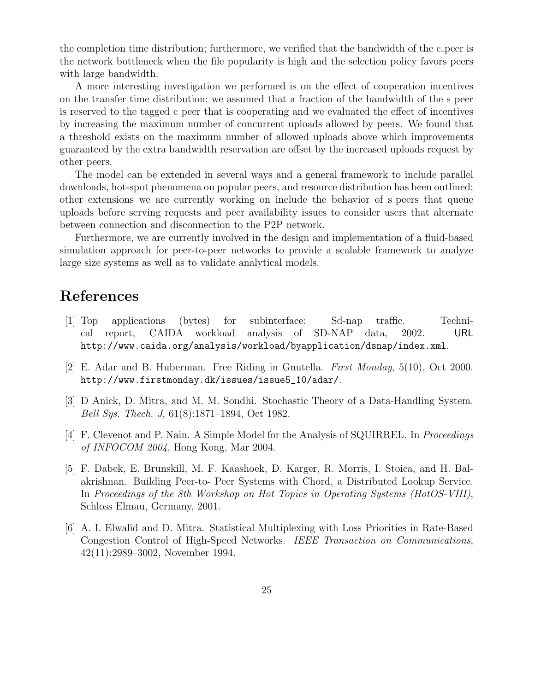the completion time distribution; furthermore, we verified that the bandwidth of the c peer is the network bottleneck when the file popularity is high and the selection policy favors peers with large bandwidth.

A more interesting investigation we performed is on the effect of cooperation incentives on the transfer time distribution; we assumed that a fraction of the bandwidth of the s peer is reserved to the tagged c peer that is cooperating and we evaluated the effect of incentives by increasing the maximum number of concurrent uploads allowed by peers. We found that a threshold exists on the maximum number of allowed uploads above which improvements guaranteed by the extra bandwidth reservation are offset by the increased uploads request by other peers.

The model can be extended in several ways and a general framework to include parallel downloads, hot-spot phenomena on popular peers, and resource distribution has been outlined; other extensions we are currently working on include the behavior of s peers that queue uploads before serving requests and peer availability issues to consider users that alternate between connection and disconnection to the P2P network.

Furthermore, we are currently involved in the design and implementation of a fluid-based simulation approach for peer-to-peer networks to provide a scalable framework to analyze large size systems as well as to validate analytical models.

# References

- [1] Top applications (bytes) for subinterface: Sd-nap traffic. Technical report, CAIDA workload analysis of SD-NAP data, 2002. URL http://www.caida.org/analysis/workload/byapplication/dsnap/index.xml.
- [2] E. Adar and B. Huberman. Free Riding in Gnutella. First Monday, 5(10), Oct 2000. http://www.firstmonday.dk/issues/issue5\_10/adar/.
- [3] D Anick, D. Mitra, and M. M. Sondhi. Stochastic Theory of a Data-Handling System. Bell Sys. Thech. J, 61(8):1871–1894, Oct 1982.
- [4] F. Clevenot and P. Nain. A Simple Model for the Analysis of SQUIRREL. In Proceedings of INFOCOM 2004, Hong Kong, Mar 2004.
- [5] F. Dabek, E. Brunskill, M. F. Kaashoek, D. Karger, R. Morris, I. Stoica, and H. Balakrishnan. Building Peer-to- Peer Systems with Chord, a Distributed Lookup Service. In Proceedings of the 8th Workshop on Hot Topics in Operating Systems (HotOS-VIII), Schloss Elmau, Germany, 2001.
- [6] A. I. Elwalid and D. Mitra. Statistical Multiplexing with Loss Priorities in Rate-Based Congestion Control of High-Speed Networks. IEEE Transaction on Communications, 42(11):2989–3002, November 1994.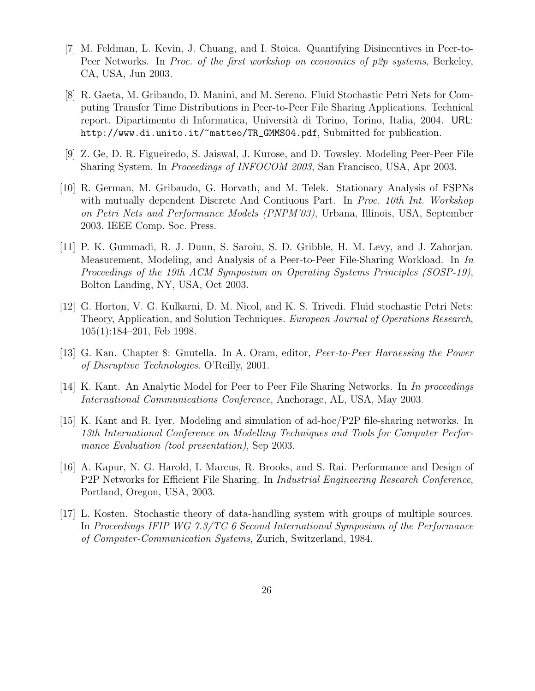- [7] M. Feldman, L. Kevin, J. Chuang, and I. Stoica. Quantifying Disincentives in Peer-to-Peer Networks. In Proc. of the first workshop on economics of p2p systems, Berkeley, CA, USA, Jun 2003.
- [8] R. Gaeta, M. Gribaudo, D. Manini, and M. Sereno. Fluid Stochastic Petri Nets for Computing Transfer Time Distributions in Peer-to-Peer File Sharing Applications. Technical report, Dipartimento di Informatica, Universit`a di Torino, Torino, Italia, 2004. URL: http://www.di.unito.it/~matteo/TR\_GMMS04.pdf, Submitted for publication.
- [9] Z. Ge, D. R. Figueiredo, S. Jaiswal, J. Kurose, and D. Towsley. Modeling Peer-Peer File Sharing System. In Proceedings of INFOCOM 2003, San Francisco, USA, Apr 2003.
- [10] R. German, M. Gribaudo, G. Horvath, and M. Telek. Stationary Analysis of FSPNs with mutually dependent Discrete And Contiuous Part. In Proc. 10th Int. Workshop on Petri Nets and Performance Models (PNPM'03), Urbana, Illinois, USA, September 2003. IEEE Comp. Soc. Press.
- [11] P. K. Gummadi, R. J. Dunn, S. Saroiu, S. D. Gribble, H. M. Levy, and J. Zahorjan. Measurement, Modeling, and Analysis of a Peer-to-Peer File-Sharing Workload. In In Proceedings of the 19th ACM Symposium on Operating Systems Principles (SOSP-19), Bolton Landing, NY, USA, Oct 2003.
- [12] G. Horton, V. G. Kulkarni, D. M. Nicol, and K. S. Trivedi. Fluid stochastic Petri Nets: Theory, Application, and Solution Techniques. European Journal of Operations Research, 105(1):184–201, Feb 1998.
- [13] G. Kan. Chapter 8: Gnutella. In A. Oram, editor, Peer-to-Peer Harnessing the Power of Disruptive Technologies. O'Reilly, 2001.
- [14] K. Kant. An Analytic Model for Peer to Peer File Sharing Networks. In In proceedings International Communications Conference, Anchorage, AL, USA, May 2003.
- [15] K. Kant and R. Iyer. Modeling and simulation of ad-hoc/P2P file-sharing networks. In 13th International Conference on Modelling Techniques and Tools for Computer Performance Evaluation (tool presentation), Sep 2003.
- [16] A. Kapur, N. G. Harold, I. Marcus, R. Brooks, and S. Rai. Performance and Design of P2P Networks for Efficient File Sharing. In Industrial Engineering Research Conference, Portland, Oregon, USA, 2003.
- [17] L. Kosten. Stochastic theory of data-handling system with groups of multiple sources. In Proceedings IFIP WG 7.3/TC 6 Second International Symposium of the Performance of Computer-Communication Systems, Zurich, Switzerland, 1984.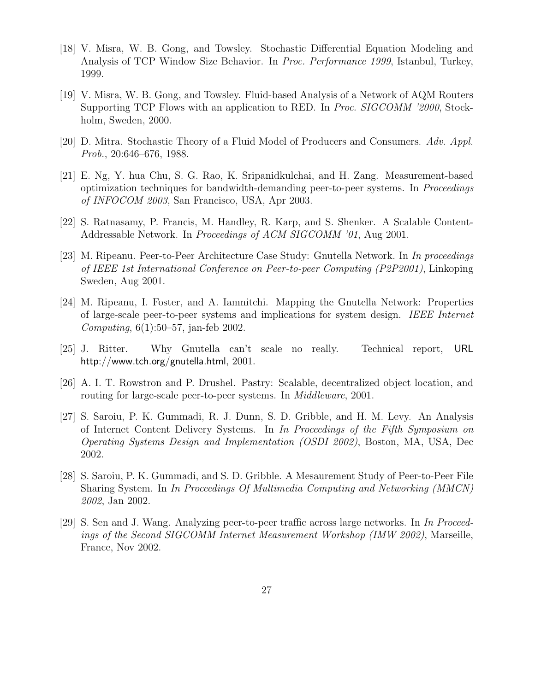- [18] V. Misra, W. B. Gong, and Towsley. Stochastic Differential Equation Modeling and Analysis of TCP Window Size Behavior. In Proc. Performance 1999, Istanbul, Turkey, 1999.
- [19] V. Misra, W. B. Gong, and Towsley. Fluid-based Analysis of a Network of AQM Routers Supporting TCP Flows with an application to RED. In Proc. SIGCOMM '2000, Stockholm, Sweden, 2000.
- [20] D. Mitra. Stochastic Theory of a Fluid Model of Producers and Consumers. Adv. Appl. Prob., 20:646–676, 1988.
- [21] E. Ng, Y. hua Chu, S. G. Rao, K. Sripanidkulchai, and H. Zang. Measurement-based optimization techniques for bandwidth-demanding peer-to-peer systems. In Proceedings of INFOCOM 2003, San Francisco, USA, Apr 2003.
- [22] S. Ratnasamy, P. Francis, M. Handley, R. Karp, and S. Shenker. A Scalable Content-Addressable Network. In Proceedings of ACM SIGCOMM '01, Aug 2001.
- [23] M. Ripeanu. Peer-to-Peer Architecture Case Study: Gnutella Network. In In proceedings of IEEE 1st International Conference on Peer-to-peer Computing (P2P2001), Linkoping Sweden, Aug 2001.
- [24] M. Ripeanu, I. Foster, and A. Iamnitchi. Mapping the Gnutella Network: Properties of large-scale peer-to-peer systems and implications for system design. IEEE Internet Computing, 6(1):50–57, jan-feb 2002.
- [25] J. Ritter. Why Gnutella can't scale no really. Technical report, URL http://www.tch.org/gnutella.html, 2001.
- [26] A. I. T. Rowstron and P. Drushel. Pastry: Scalable, decentralized object location, and routing for large-scale peer-to-peer systems. In Middleware, 2001.
- [27] S. Saroiu, P. K. Gummadi, R. J. Dunn, S. D. Gribble, and H. M. Levy. An Analysis of Internet Content Delivery Systems. In In Proceedings of the Fifth Symposium on Operating Systems Design and Implementation (OSDI 2002), Boston, MA, USA, Dec 2002.
- [28] S. Saroiu, P. K. Gummadi, and S. D. Gribble. A Mesaurement Study of Peer-to-Peer File Sharing System. In In Proceedings Of Multimedia Computing and Networking (MMCN) 2002, Jan 2002.
- [29] S. Sen and J. Wang. Analyzing peer-to-peer traffic across large networks. In In Proceedings of the Second SIGCOMM Internet Measurement Workshop (IMW 2002), Marseille, France, Nov 2002.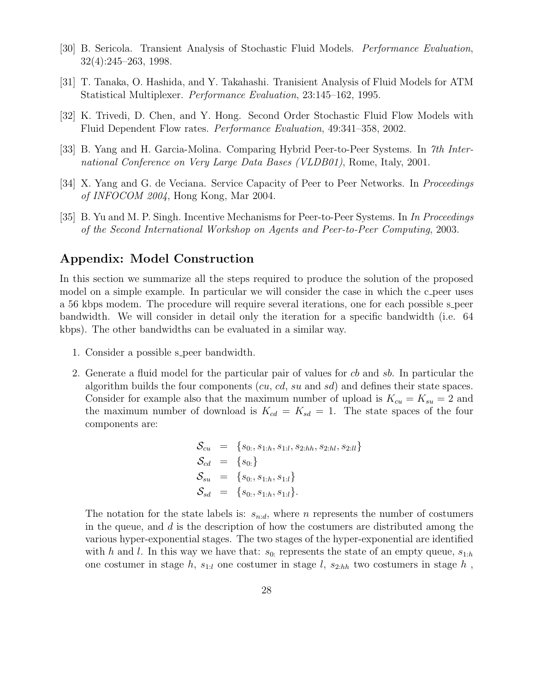- [30] B. Sericola. Transient Analysis of Stochastic Fluid Models. Performance Evaluation, 32(4):245–263, 1998.
- [31] T. Tanaka, O. Hashida, and Y. Takahashi. Tranisient Analysis of Fluid Models for ATM Statistical Multiplexer. Performance Evaluation, 23:145–162, 1995.
- [32] K. Trivedi, D. Chen, and Y. Hong. Second Order Stochastic Fluid Flow Models with Fluid Dependent Flow rates. Performance Evaluation, 49:341–358, 2002.
- [33] B. Yang and H. Garcia-Molina. Comparing Hybrid Peer-to-Peer Systems. In 7th International Conference on Very Large Data Bases (VLDB01), Rome, Italy, 2001.
- [34] X. Yang and G. de Veciana. Service Capacity of Peer to Peer Networks. In *Proceedings* of INFOCOM 2004, Hong Kong, Mar 2004.
- [35] B. Yu and M. P. Singh. Incentive Mechanisms for Peer-to-Peer Systems. In In Proceedings of the Second International Workshop on Agents and Peer-to-Peer Computing, 2003.

#### Appendix: Model Construction

In this section we summarize all the steps required to produce the solution of the proposed model on a simple example. In particular we will consider the case in which the c-peer uses a 56 kbps modem. The procedure will require several iterations, one for each possible s peer bandwidth. We will consider in detail only the iteration for a specific bandwidth (i.e. 64 kbps). The other bandwidths can be evaluated in a similar way.

- 1. Consider a possible s peer bandwidth.
- 2. Generate a fluid model for the particular pair of values for cb and sb. In particular the algorithm builds the four components  $(cu, cd, su$  and  $sd)$  and defines their state spaces. Consider for example also that the maximum number of upload is  $K_{cu} = K_{su} = 2$  and the maximum number of download is  $K_{cd} = K_{sd} = 1$ . The state spaces of the four components are:

$$
\begin{array}{rcl} \mathcal{S}_{cu} & = & \{s_{0:}, s_{1:h}, s_{1:l}, s_{2:hh}, s_{2:hl}, s_{2:ll}\} \\ \mathcal{S}_{cd} & = & \{s_{0:}\} \\ \mathcal{S}_{su} & = & \{s_{0:}, s_{1:h}, s_{1:l}\} \\ \mathcal{S}_{sd} & = & \{s_{0:}, s_{1:h}, s_{1:l}\} .\end{array}
$$

The notation for the state labels is:  $s_{n,d}$ , where n represents the number of costumers in the queue, and  $d$  is the description of how the costumers are distributed among the various hyper-exponential stages. The two stages of the hyper-exponential are identified with h and l. In this way we have that:  $s_{0}$ : represents the state of an empty queue,  $s_{1:h}$ one costumer in stage h,  $s_{1:l}$  one costumer in stage l,  $s_{2:hh}$  two costumers in stage h,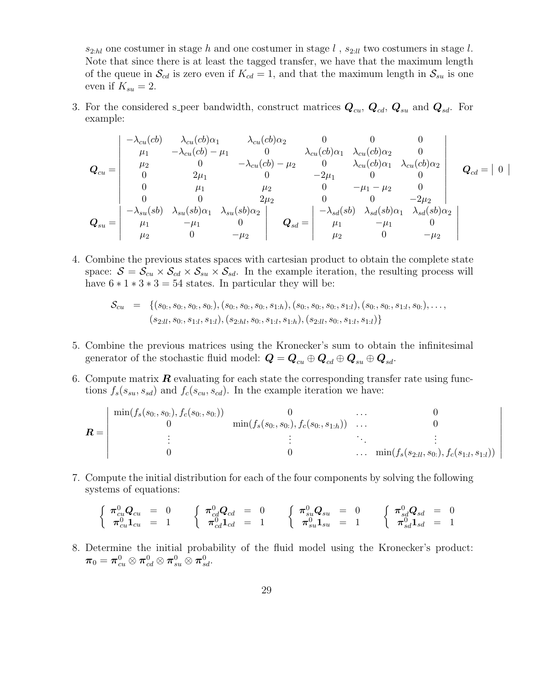$s_{2:hl}$  one costumer in stage h and one costumer in stage l,  $s_{2:ll}$  two costumers in stage l. Note that since there is at least the tagged transfer, we have that the maximum length of the queue in  $\mathcal{S}_{cd}$  is zero even if  $K_{cd} = 1$ , and that the maximum length in  $\mathcal{S}_{su}$  is one even if  $K_{su} = 2$ .

3. For the considered s peer bandwidth, construct matrices  $Q_{cu}$ ,  $Q_{cd}$ ,  $Q_{sd}$ , and  $Q_{sd}$ . For example:

$$
Q_{cu} = \begin{vmatrix} -\lambda_{cu}(cb) & \lambda_{cu}(cb)\alpha_1 & \lambda_{cu}(cb)\alpha_2 & 0 & 0 & 0 \\ \mu_1 & -\lambda_{cu}(cb) - \mu_1 & 0 & \lambda_{cu}(cb)\alpha_1 & \lambda_{cu}(cb)\alpha_2 & 0 \\ \mu_2 & 0 & -\lambda_{cu}(cb) - \mu_2 & 0 & \lambda_{cu}(cb)\alpha_1 & \lambda_{cu}(cb)\alpha_2 \\ 0 & 2\mu_1 & 0 & -2\mu_1 & 0 & 0 \\ 0 & \mu_1 & \mu_2 & 0 & -\mu_1 - \mu_2 & 0 \\ 0 & 0 & 2\mu_2 & 0 & 0 & -2\mu_2 \\ -\lambda_{su}(sb) & \lambda_{su}(sb)\alpha_1 & \lambda_{su}(sb)\alpha_2 & 0 & -\lambda_{sd}(sb) & \lambda_{sd}(sb)\alpha_1 & \lambda_{sd}(sb)\alpha_2 \\ \mu_1 & -\mu_1 & 0 & \mu_2 & 0 & -\mu_2 \end{vmatrix} \quad Q_{sd} = \begin{vmatrix} -\lambda_{sd}(sb) & \lambda_{sd}(sb)\alpha_1 & \lambda_{sd}(sb)\alpha_2 \\ \mu_1 & -\mu_1 & 0 \\ \mu_2 & 0 & -\mu_2 \end{vmatrix}
$$

 $\overline{\phantom{a}}$  $\frac{1}{2}$ 

 $\overline{\phantom{a}}$  $\overline{\phantom{a}}$  $\overline{\phantom{a}}$  $\overline{\phantom{a}}$  $\overline{\phantom{a}}$  $\overline{\phantom{a}}$  $\overline{\phantom{a}}$  $\overline{\phantom{a}}$  $\overline{a}$ 

4. Combine the previous states spaces with cartesian product to obtain the complete state space:  $S = S_{cu} \times S_{cd} \times S_{su} \times S_{sd}$ . In the example iteration, the resulting process will have  $6 * 1 * 3 * 3 = 54$  states. In particular they will be:

$$
\mathcal{S}_{cu} = \{ (s_0, s_0, s_0, s_0), (s_0, s_0, s_0, s_{1:h}), (s_0, s_0, s_1, s_{1:l}), (s_0, s_0, s_{1:l}, s_0), \ldots, (s_{2:ll}, s_0, s_{1:l}, s_{1:l}), (s_{2:hl}, s_0, s_{1:l}, s_{1:h}), (s_{2:ll}, s_0, s_{1:l}, s_{1:l}) \}
$$

- 5. Combine the previous matrices using the Kronecker's sum to obtain the infinitesimal generator of the stochastic fluid model:  $\mathbf{Q} = \mathbf{Q}_{cu} \oplus \mathbf{Q}_{cd} \oplus \mathbf{Q}_{su} \oplus \mathbf{Q}_{sd}$ .
- 6. Compute matrix  $\bf{R}$  evaluating for each state the corresponding transfer rate using functions  $f_s(s_{su}, s_{sd})$  and  $f_c(s_{cu}, s_{cd})$ . In the example iteration we have:

$$
\mathbf{R} = \begin{pmatrix} \min(f_s(s_{0:}, s_{0:}), f_c(s_{0:}, s_{0:})) & 0 & \cdots & 0 \\ 0 & \min(f_s(s_{0:}, s_{0:}), f_c(s_{0:}, s_{1:h})) & \cdots & 0 \\ \vdots & \vdots & \ddots & \vdots & \vdots \\ 0 & 0 & \cdots & \min(f_s(s_{2:ll}, s_{0:}), f_c(s_{1:l}, s_{1:l})) \end{pmatrix}
$$

7. Compute the initial distribution for each of the four components by solving the following systems of equations:

$$
\begin{cases}\n\pi_{cu}^{0}Q_{cu} = 0 & \left\{\begin{array}{ll}\pi_{cd}^{0}Q_{cd} = 0\\ \pi_{cu}^{0}1_{cu} = 1 \end{array}\right.\right.\left\{\begin{array}{ll}\n\pi_{cd}^{0}Q_{cd} = 0\\
\pi_{cd}^{0}1_{cd} = 1 \end{array}\right.\left\{\begin{array}{ll}\n\pi_{su}^{0}Q_{su} = 0\\
\pi_{su}^{0}1_{su} = 1 \end{array}\right.\left\{\begin{array}{ll}\n\pi_{sd}^{0}Q_{sd} = 0\\
\pi_{sd}^{0}1_{sd} = 1\n\end{array}\right.
$$

8. Determine the initial probability of the fluid model using the Kronecker's product:  $\boldsymbol{\pi}_0 = \boldsymbol{\pi}^0_{cu} \otimes \boldsymbol{\pi}^0_{cd} \otimes \boldsymbol{\pi}^0_{su} \otimes \boldsymbol{\pi}^0_{sd}.$